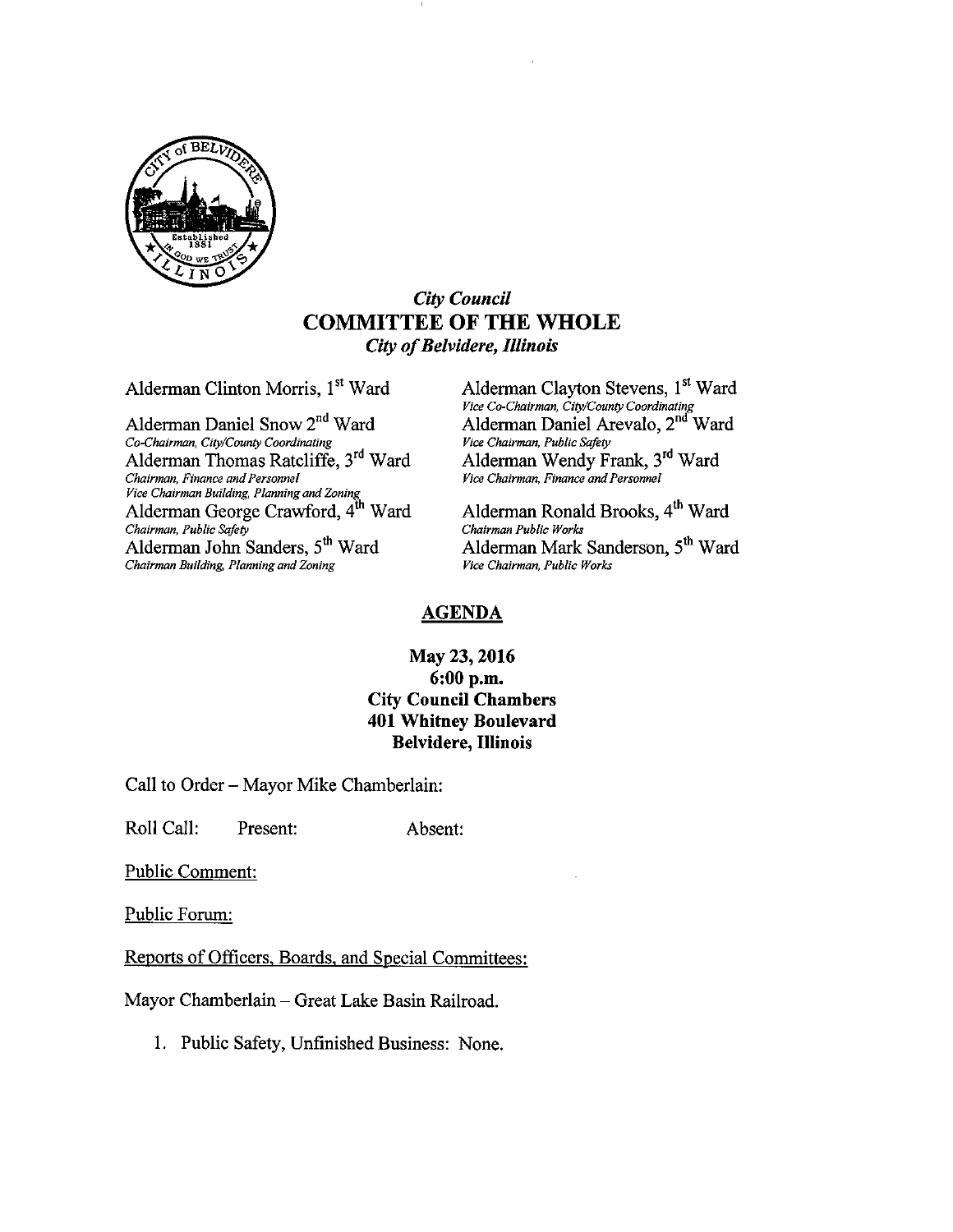

#### City Council COMMITTEE OF THE WHOLE City of Belvidere, Illinois

Co-Chairman, City/County Coordinating Vice Chairman, Public Safety Alderman Thomas Ratcliffe, 3<sup>rd</sup> Ward Chairman, Finance and Personnel <sup>v</sup>ice Chairman Building, Planning and Zoning<br>Alderman George Crawford, 4<sup>th</sup> Ward Alderman Ronald Brooks, 4<sup>th</sup> Ward Chairman, Public Safety<br>
Alderman John Sanders, 5<sup>th</sup> Ward<br>
Alderman Mark Chairman Building, Planning and Zoning

Alderman Clinton Morris, 1<sup>st</sup> Ward Alderman Clayton Stevens, 1<sup>st</sup> Ward Vice Co-Chairman, City/County Coordinating<br>Alderman Daniel Snow 2<sup>nd</sup> Ward Alderman Daniel Arevalo, 2<sup>nd</sup> Ward Alderman Wendy Frank, 3<sup>rd</sup> Ward Chairman, Finance andPersonnel Vice Chairman, Finance andPersonnel

Alderman Mark Sanderson, 5<sup>th</sup> Ward Vice Chairman, Public Works

#### AGENDA

#### May 23, 2016 6: 00 p.m. City Council Chambers 401 Whitney Boulevard Belvidere, Illinois

Call to Order— Mayor Mike Chamberlain:

Roll Call: Present: Absent:

Public Comment:

Public Forum:

Reports of Officers, Boards, and Special Committees:

Mayor Chamberlain—Great Lake Basin Railroad.

1. Public Safety, Unfinished Business: None.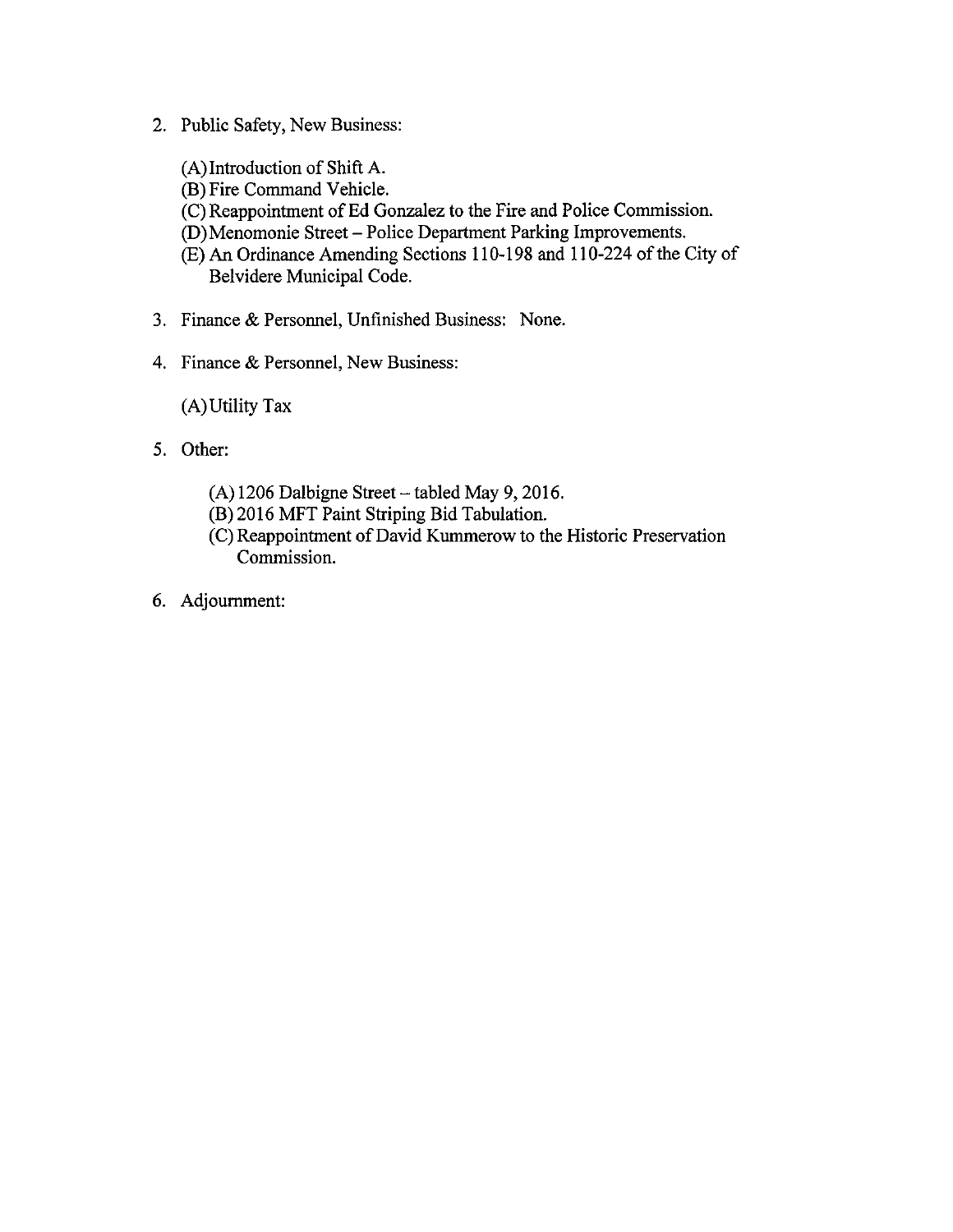- 2. Public Safety, New Business:
	- A)Introduction of Shift A.
	- B) Fire Command Vehicle.
	- C) Reappointment of Ed Gonzalez to the Fire and Police Commission.
	- D) Menomonie Street— Police Department Parking Improvements.
	- E) An Ordinance Amending Sections 110- 198 and 110-224 of the City of Belvidere Municipal Code.
- 3. Finance& Personnel, Unfinished Business: None.
- 4. Finance& Personnel, New Business:

A)Utility Tax

- 5. Other:
	- A) 1206 Dalbigne Street— tabled May 9, 2016.
	- B) 2016 MFT Paint Striping Bid Tabulation.
	- C) Reappointment of David Kummerow to the Historic Preservation Commission.
- 6. Adjournment: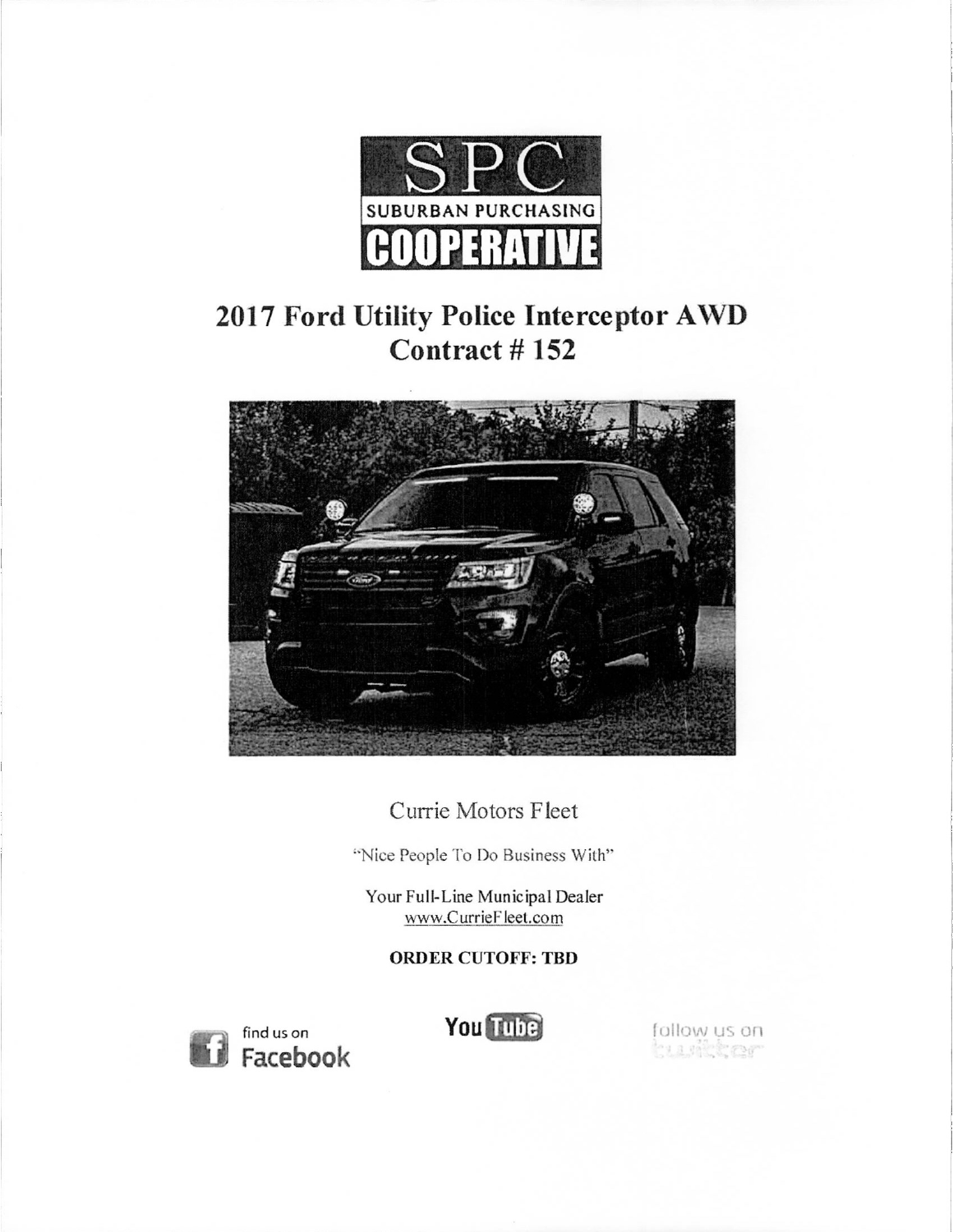

# 2017 Ford Utility Police Interceptor AWD Contract # 152



Currie Motors Fleet

"Nice People To Do Business With"

Your Full-Line Municipal Dealer www.CurrieFleet.com

ORDER CUTOFF: TBD

**Facebook** 

find us on **You** Tulie **Your Exception of the State of State of State of State of State of State of State of State of State of State of State of State of State of State of State of State of State of State of State of State**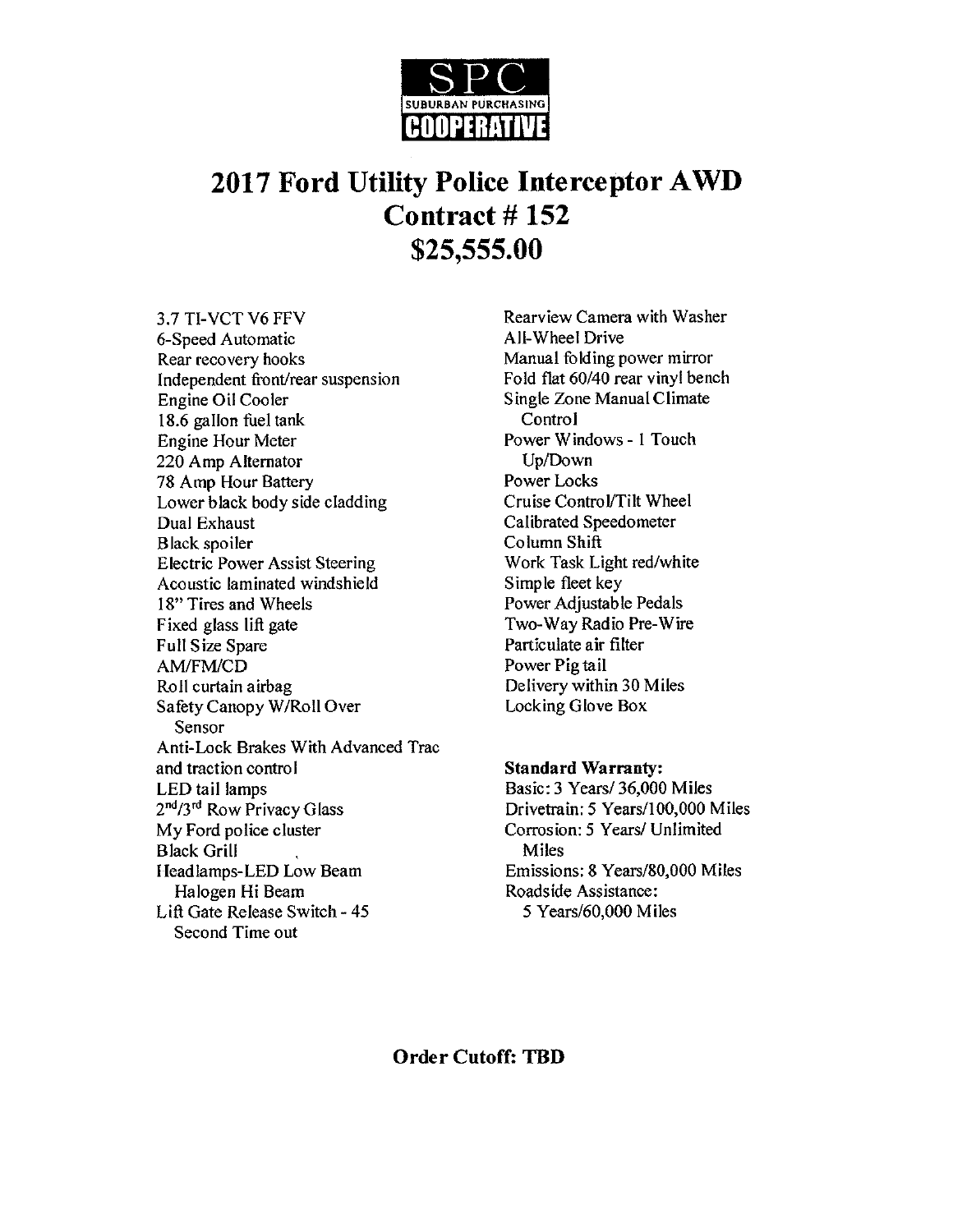

# 2017 Ford Utility Police Interceptor AWD Contract # 152 25,555.00

3.7 TI-VCT V6 FFV Rearview Camera with Washer 6-Speed Automatic All-Wheel Drive Rear recovery hooks<br>Independent front/rear suspension<br>Fold flat 60/40 rear vinyl bench Independent front/rear suspension Engine Oil Cooler Single Zone Manual Climate 18.6 gallon fuel tank Control Engine Hour Meter Power Windows - 1 Touch 220 Amp Alternator Up/Down<br>
78 Amp Hour Battery Sample Power Locks 78 Amp Hour Battery<br>
Lower black body side cladding<br>
Power Locks<br>
Cruise Control/Tilt Wheel Lower black body side cladding Dual Exhaust Calibrated Speedometer Black spoiler Column Shift Electric Power Assist Steering Work Task Light red/white<br>Acoustic laminated windshield Simple fleet key Acoustic laminated windshield<br>18" Tires and Wheels Fixed glass lift gate<br>
Full Size Spare<br>
Full Size Spare<br>
Full Size Spare<br>
Full Size Spare<br>
Full Size Spare<br>
Full Size Spare AM/FM/CD Power Pig tail Safety Canopy W/Roll Over Sensor Anti-Lock Brakes With Advanced Trac and traction control and traction control and traction Standard Warranty:<br>
LED tail lamps and the Standard Standard Warranty: 2<sup>nd</sup>/3<sup>rd</sup> Row Privacy Glass  $2^{nd}/3^{rd}$  Row Privacy Glass Drivetrain: 5 Years/100,000 Miles<br>My Ford police cluster Corrosion: 5 Years/ Unlimited Black Grill I Feadlamps-LED Low Beam Emissions: 8 Years/80,000 Miles Halogen Hi Beam Roadside Assistance: Lift Gate Release Switch - 45 5 Years/60,000 Miles Second Time out

Power Adjustable Pedals Particulate air filter Delivery within 30 Miles<br>Locking Glove Box

Basic: 3 Years/ 36,000 Miles Corrosion: 5 Years/ Unlimited<br>Miles

#### Order Cutoff: TBD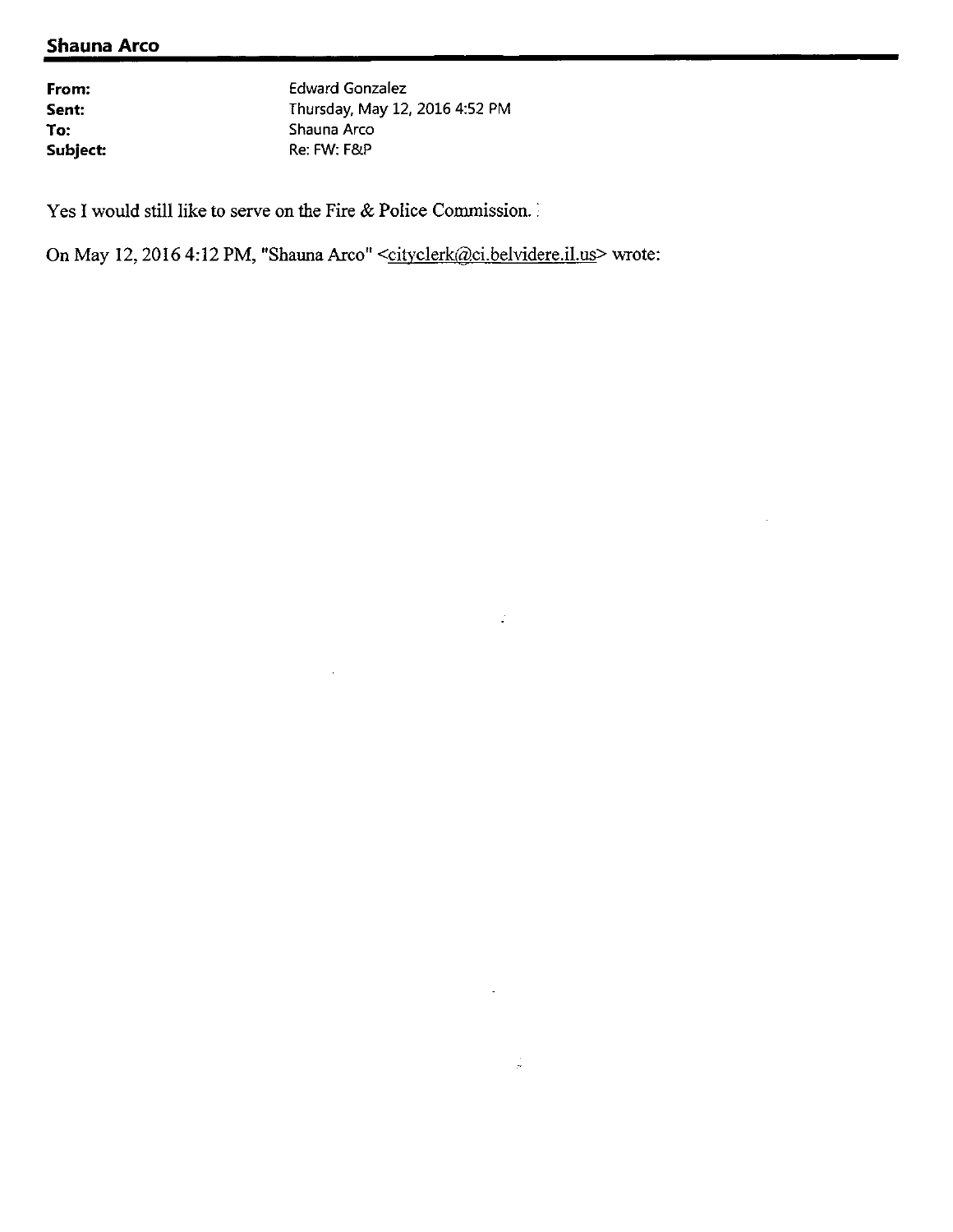### Shauna Arco

From: Edward Gonzalez Sent: Thursday, May 12, 2016 4:52 PM<br>To: Shauna Arco Shauna Arco Subject: Re: FW: F& P

 $\mathbb{Z}^2$ 

 $\frac{1}{\sigma}$ 

Yes I would still like to serve on the Fire & Police Commission. :

On May 12, 2016 4:12 PM, "Shauna Arco" <cityclerk@ci.belvidere.il.us> wrote: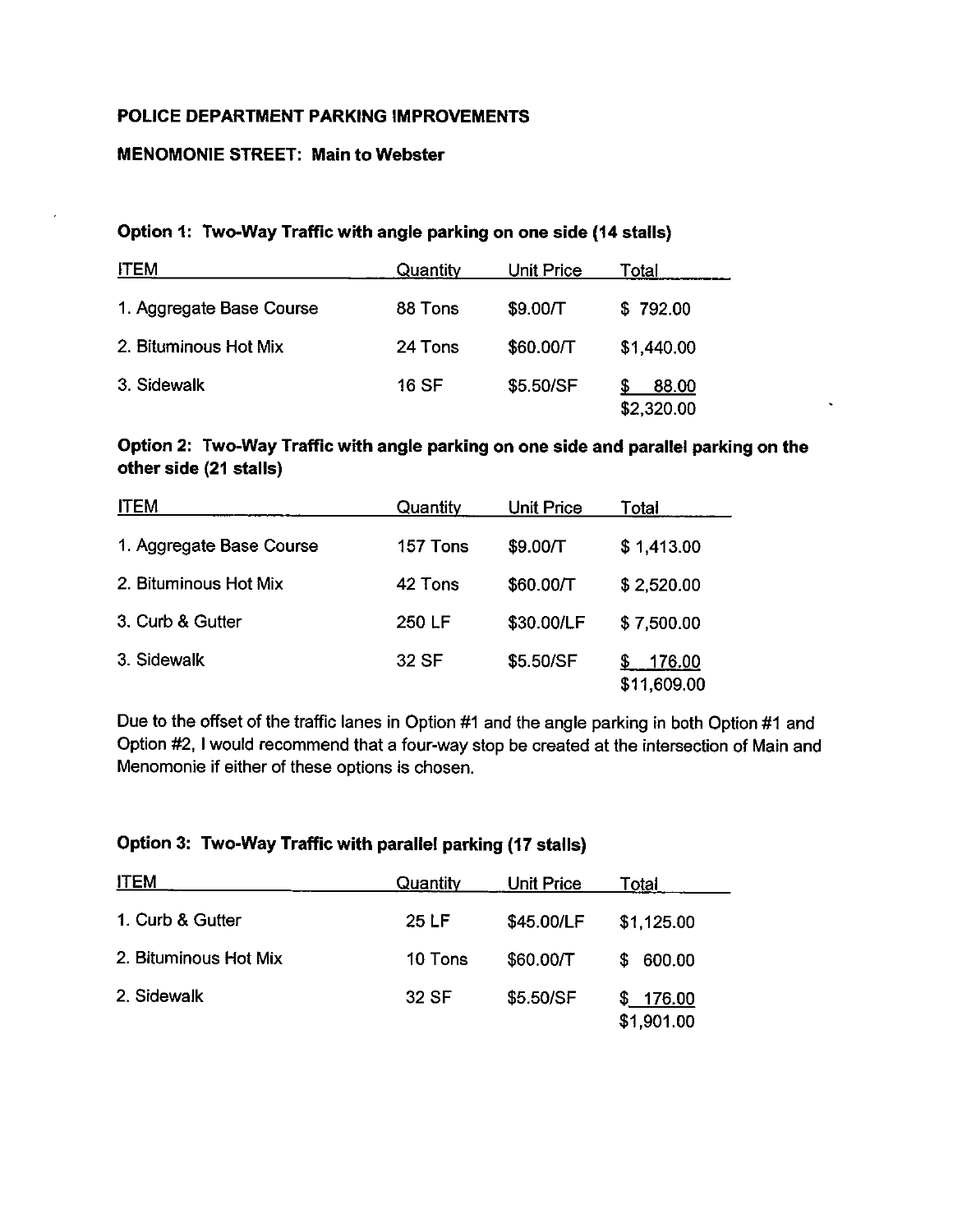#### POLICE DEPARTMENT PARKING IMPROVEMENTS

#### MENOMONIE STREET: Main to Webster

#### Option 1: Two-Way Traffic with angle parking on one side (14 stalls)

| <b>ITEM</b>              | Quantity | Unit Price | Total               |
|--------------------------|----------|------------|---------------------|
| 1. Aggregate Base Course | 88 Tons  | \$9.00/T   | \$792.00            |
| 2. Bituminous Hot Mix    | 24 Tons  | \$60.00/T  | \$1,440.00          |
| 3. Sidewalk              | 16 SF    | \$5.50/SF  | 88.00<br>\$2,320.00 |

#### Option 2: Two-Way Traffic with angle parking on one side and parallel parking on the other side (21 stalls)

| <b>ITEM</b>              | Quantity | <b>Unit Price</b> | Total                 |
|--------------------------|----------|-------------------|-----------------------|
| 1. Aggregate Base Course | 157 Tons | \$9.00/T          | \$1,413.00            |
| 2. Bituminous Hot Mix    | 42 Tons  | \$60.00/T         | \$2,520.00            |
| 3. Curb & Gutter         | 250 LF   | \$30.00/LF        | \$7,500.00            |
| 3. Sidewalk              | 32 SF    | \$5.50/SF         | 176.00<br>\$11,609.00 |

Due to the offset of the traffic lanes in Option #1 and the angle parking in both Option #1 and Option #2, I would recommend that a four-way stop be created at the intersection of Main and Menomonie if either of these options is chosen.

#### Option 3: Two-Way Traffic with parallel parking (17 stalls)

| <b>ITEM</b>           | Quantity | <b>Unit Price</b> | Total                  |
|-----------------------|----------|-------------------|------------------------|
| 1. Curb & Gutter      | 25 LF    | \$45.00/LF        | \$1,125.00             |
| 2. Bituminous Hot Mix | 10 Tons  | \$60.00/T         | 600.00<br>S            |
| 2. Sidewalk           | 32 SF    | \$5.50/SF         | \$176.00<br>\$1,901.00 |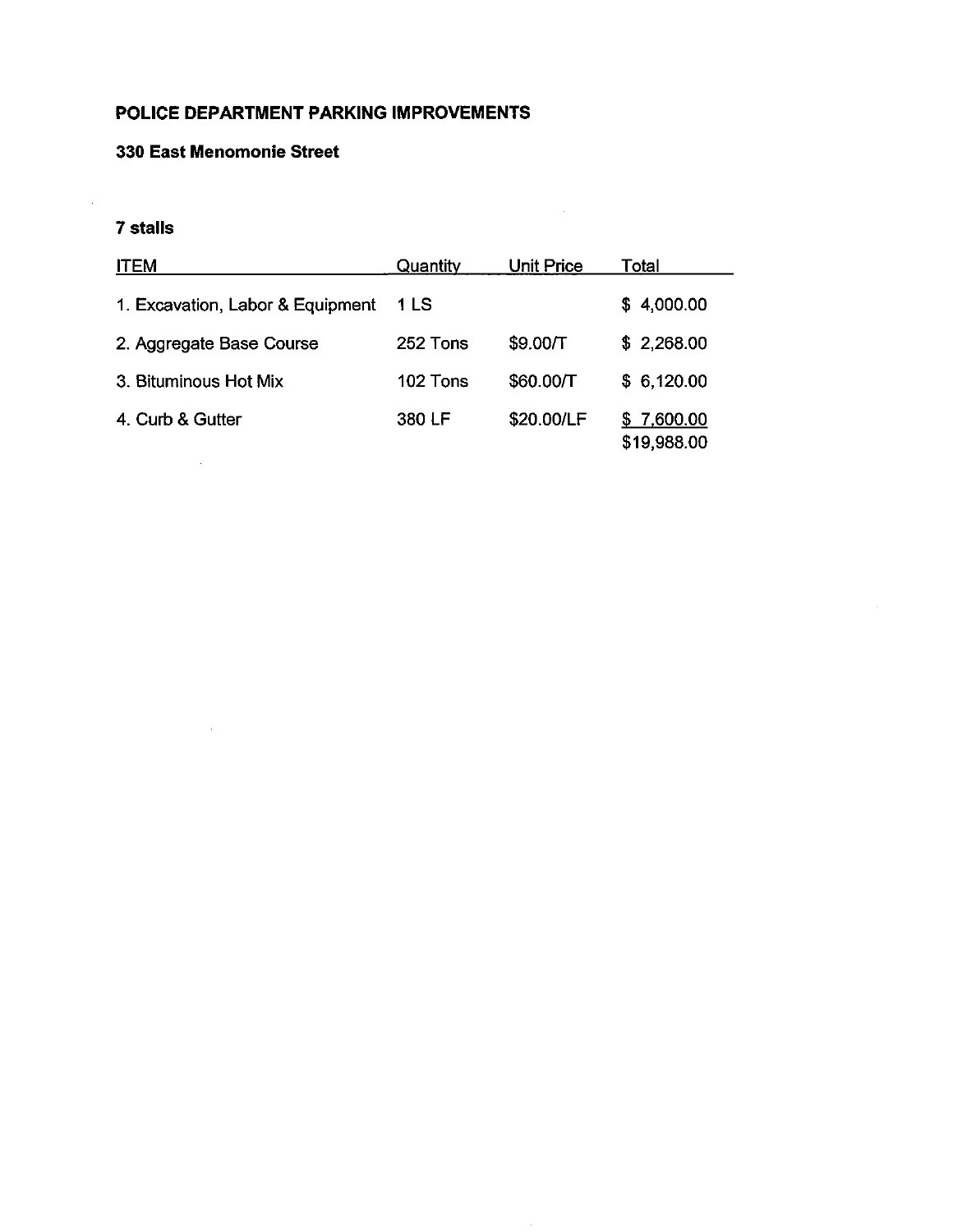#### POLICE DEPARTMENT PARKING IMPROVEMENTS

#### 330 East Menomonie Street

 $\sim$   $\sim$ 

 $\sim 10$ 

#### 7 stalls

| <b>ITEM</b>                      | Quantity | <b>Unit Price</b> | Total                     |
|----------------------------------|----------|-------------------|---------------------------|
| 1. Excavation, Labor & Equipment | 1 LS     |                   | \$4,000.00                |
| 2. Aggregate Base Course         | 252 Tons | \$9.00/T          | \$2,268.00                |
| 3. Bituminous Hot Mix            | 102 Tons | \$60.00/T         | \$6,120.00                |
| 4. Curb & Gutter                 | 380 LF   | \$20.00/LF        | \$7,600.00<br>\$19,988.00 |

 $\sim$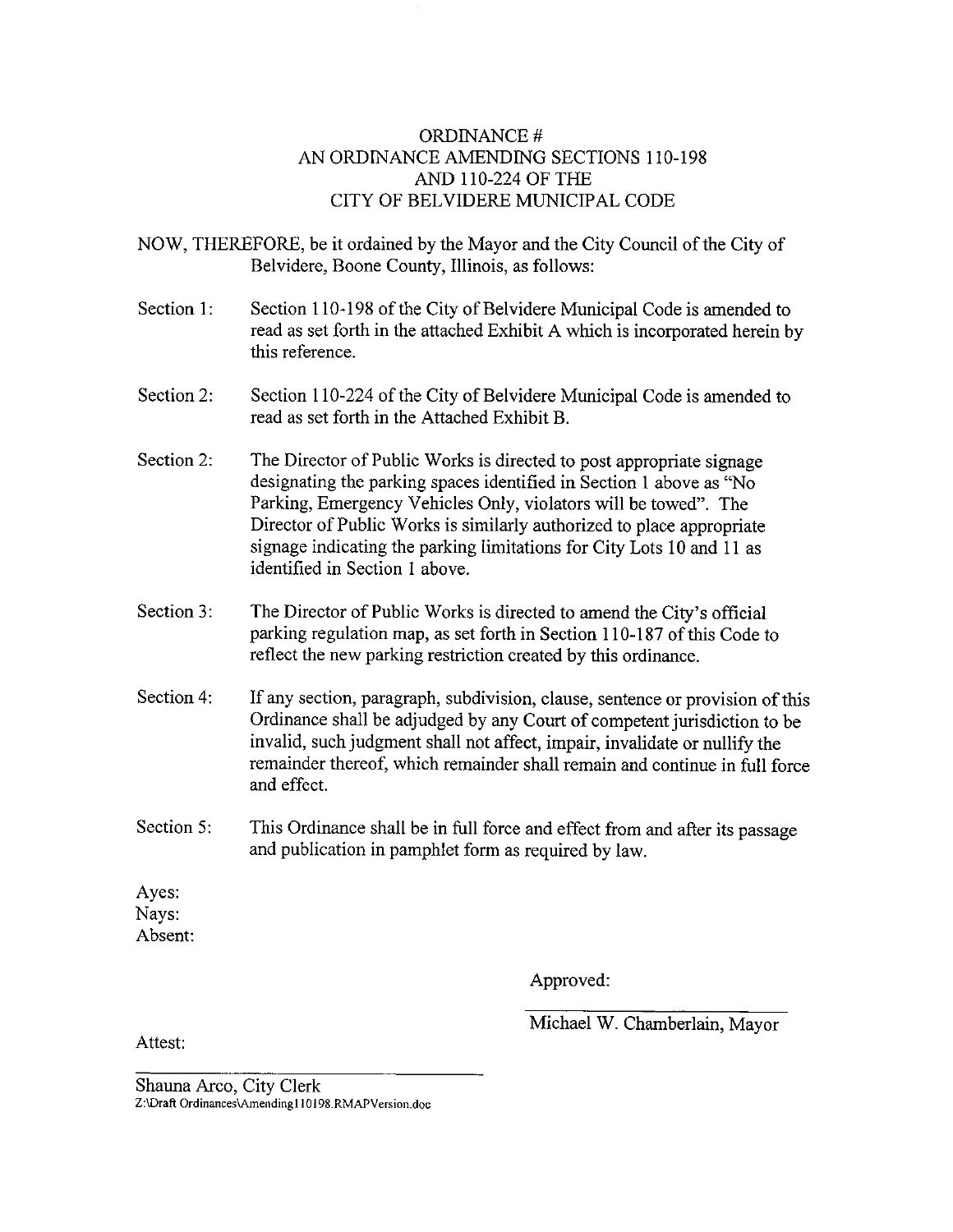#### ORDINANCE # AN ORDINANCE AMENDING SECTIONS 110-198 AND 110-224 OF THE CITY OF BELVIDERE MUNICIPAL CODE

NOW, THEREFORE, be it ordained by the Mayor and the City Council of the City of Belvidere, Boone County, Illinois, as follows:

- Section 1: Section 110-198 of the City of Belvidere Municipal Code is amended to read as set forth in the attached Exhibit A which is incorporated herein by this reference.
- Section 2: Section 110-224 of the City of Belvidere Municipal Code is amended to read as set forth in the Attached Exhibit B.
- Section 2: The Director of Public Works is directed to post appropriate signage designating the parking spaces identified in Section I above as " No Parking, Emergency Vehicles Only, violators will be towed". The Director of Public Works is similarly authorized to place appropriate signage indicating the parking limitations for City Lots  $10$  and  $11$  as identified in Section I above.
- Section 3: The Director of Public Works is directed to amend the City's official parking regulation map, as set forth in Section 110-187 of this Code to reflect the new parking restriction created by this ordinance.
- Section 4: If any section, paragraph, subdivision, clause, sentence or provision of this Ordinance shall be adjudged by any Court of competent jurisdiction to be invalid, such judgment shall not affect, impair, invalidate or nullify the remainder thereof, which remainder shall remain and continue in full force and effect.
- Section 5: This Ordinance shall be in full force and effect from and after its passage and publication in pamphlet form as required by law.

Ayes: Nays: Absent:

Approved:

Attest:

Michael W. Chamberlain, Mayor

Shauna Arco, City Clerk Z:\Draft Ordinances\Amending110198.RMAPVersion.doc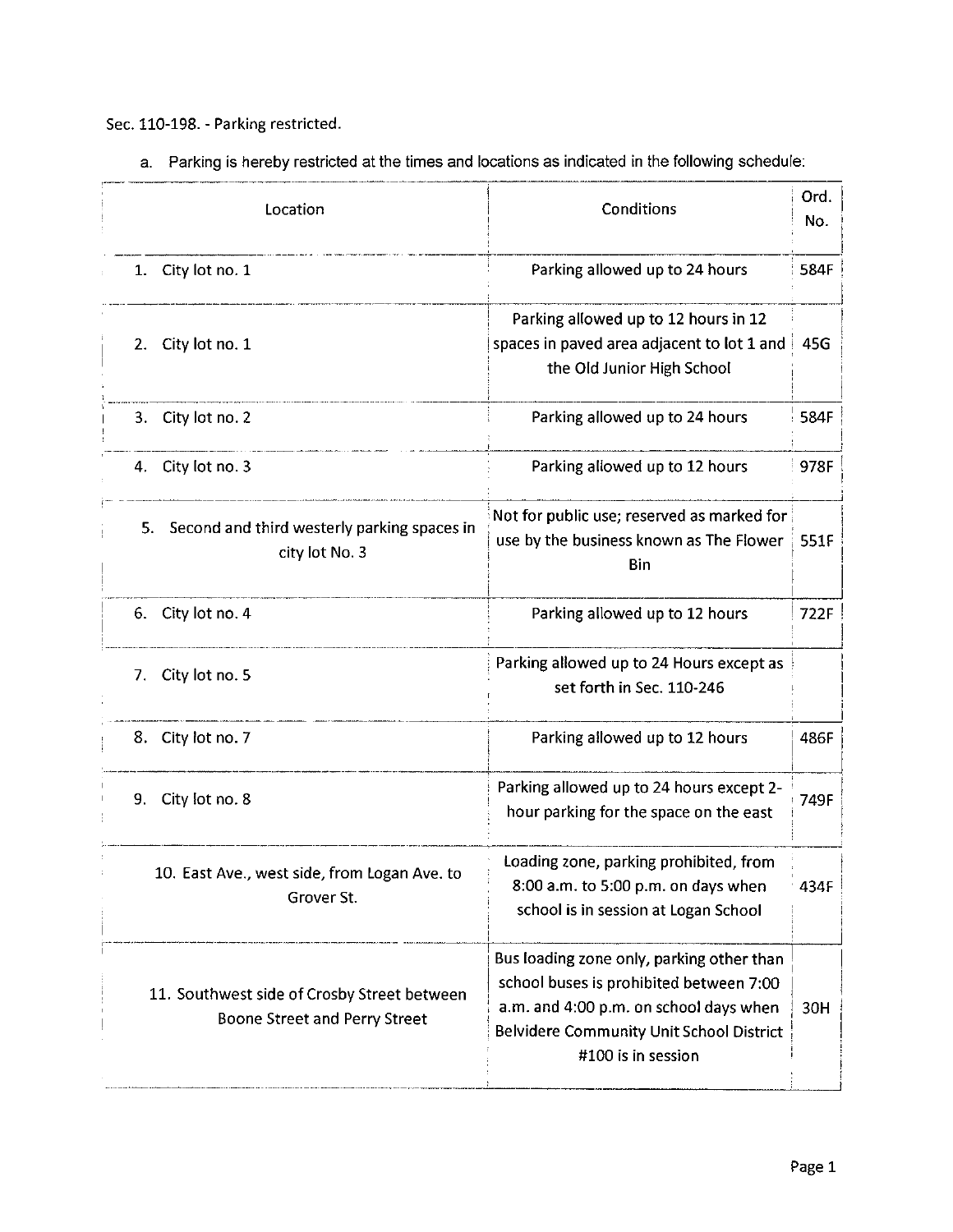Sec. 110-198. - Parking restricted.

a. Parking is hereby restricted at the times and locations as indicated in the following schedule:

| Location                                                                            | Conditions                                                                                                                                                                                       | Ord.<br>No. |
|-------------------------------------------------------------------------------------|--------------------------------------------------------------------------------------------------------------------------------------------------------------------------------------------------|-------------|
| City lot no. 1<br>1.                                                                | Parking allowed up to 24 hours                                                                                                                                                                   | 584F        |
| City lot no. 1<br>2.                                                                | Parking allowed up to 12 hours in 12<br>spaces in paved area adjacent to lot 1 and<br>the Old Junior High School                                                                                 | 45G         |
| City lot no. 2<br>3.                                                                | Parking allowed up to 24 hours                                                                                                                                                                   | 584F        |
| 4. City lot no. 3                                                                   | Parking allowed up to 12 hours                                                                                                                                                                   | 978F        |
| Second and third westerly parking spaces in<br>5.<br>city lot No. 3                 | Not for public use; reserved as marked for<br>use by the business known as The Flower<br>Bin                                                                                                     | 551F        |
| City lot no. 4<br>6.                                                                | Parking allowed up to 12 hours                                                                                                                                                                   | 722F        |
| City lot no. 5<br>7.                                                                | Parking allowed up to 24 Hours except as<br>set forth in Sec. 110-246                                                                                                                            |             |
| 8. City lot no. 7                                                                   | Parking allowed up to 12 hours                                                                                                                                                                   | 486F        |
| City lot no. 8<br>9.                                                                | Parking allowed up to 24 hours except 2-<br>hour parking for the space on the east                                                                                                               | 749F        |
| 10. East Ave., west side, from Logan Ave. to<br>Grover St.                          | Loading zone, parking prohibited, from<br>8:00 a.m. to 5:00 p.m. on days when<br>school is in session at Logan School                                                                            | 434F        |
| 11. Southwest side of Crosby Street between<br><b>Boone Street and Perry Street</b> | Bus loading zone only, parking other than<br>school buses is prohibited between 7:00<br>a.m. and 4:00 p.m. on school days when<br>Belvidere Community Unit School District<br>#100 is in session | 30H         |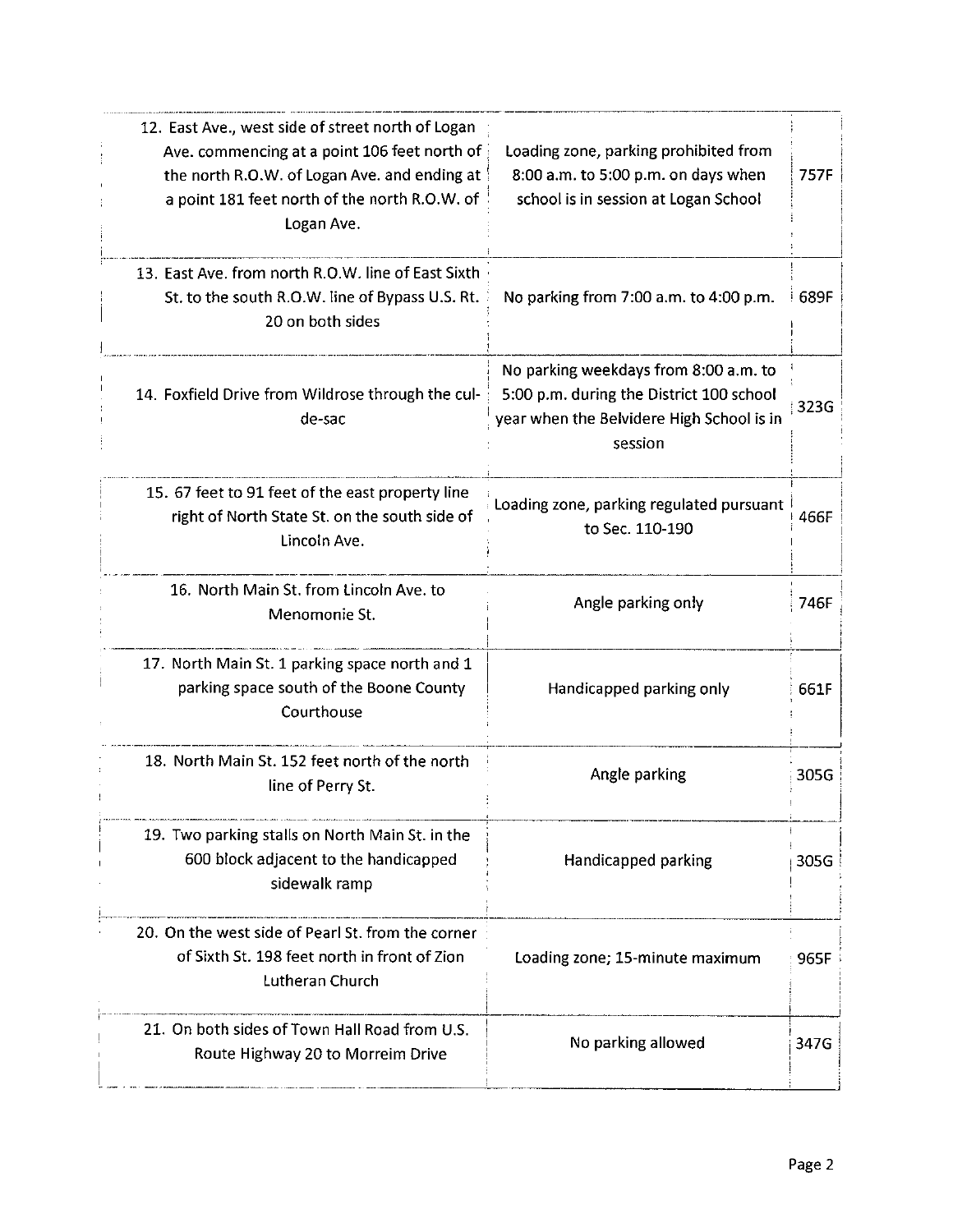| 12. East Ave., west side of street north of Logan<br>Ave. commencing at a point 106 feet north of<br>the north R.O.W. of Logan Ave. and ending at<br>a point 181 feet north of the north R.O.W. of<br>Logan Ave. | Loading zone, parking prohibited from<br>8:00 a.m. to 5:00 p.m. on days when<br>school is in session at Logan School                      | 757F |
|------------------------------------------------------------------------------------------------------------------------------------------------------------------------------------------------------------------|-------------------------------------------------------------------------------------------------------------------------------------------|------|
| 13. East Ave. from north R.O.W. line of East Sixth<br>St. to the south R.O.W. line of Bypass U.S. Rt.<br>20 on both sides                                                                                        | No parking from 7:00 a.m. to 4:00 p.m.                                                                                                    | 689F |
| 14. Foxfield Drive from Wildrose through the cul-<br>de-sac                                                                                                                                                      | No parking weekdays from 8:00 a.m. to<br>5:00 p.m. during the District 100 school<br>year when the Belvidere High School is in<br>session | 323G |
| 15. 67 feet to 91 feet of the east property line<br>right of North State St. on the south side of<br>Lincoln Ave.                                                                                                | Loading zone, parking regulated pursuant<br>to Sec. 110-190                                                                               | 466F |
| 16. North Main St. from Lincoln Ave. to<br>Menomonie St.                                                                                                                                                         | Angle parking only                                                                                                                        | 746F |
| 17. North Main St. 1 parking space north and 1<br>parking space south of the Boone County<br>Courthouse                                                                                                          | Handicapped parking only                                                                                                                  | 661F |
| 18. North Main St. 152 feet north of the north<br>line of Perry St.                                                                                                                                              | Angle parking                                                                                                                             | 305G |
| 19. Two parking stalls on North Main St. in the<br>600 block adjacent to the handicapped<br>sidewalk ramp                                                                                                        | Handicapped parking                                                                                                                       | 305G |
| 20. On the west side of Pearl St. from the corner<br>of Sixth St. 198 feet north in front of Zion<br><b>Lutheran Church</b>                                                                                      | Loading zone; 15-minute maximum                                                                                                           | 965F |
| 21. On both sides of Town Hall Road from U.S.<br>Route Highway 20 to Morreim Drive                                                                                                                               | No parking allowed                                                                                                                        | 347G |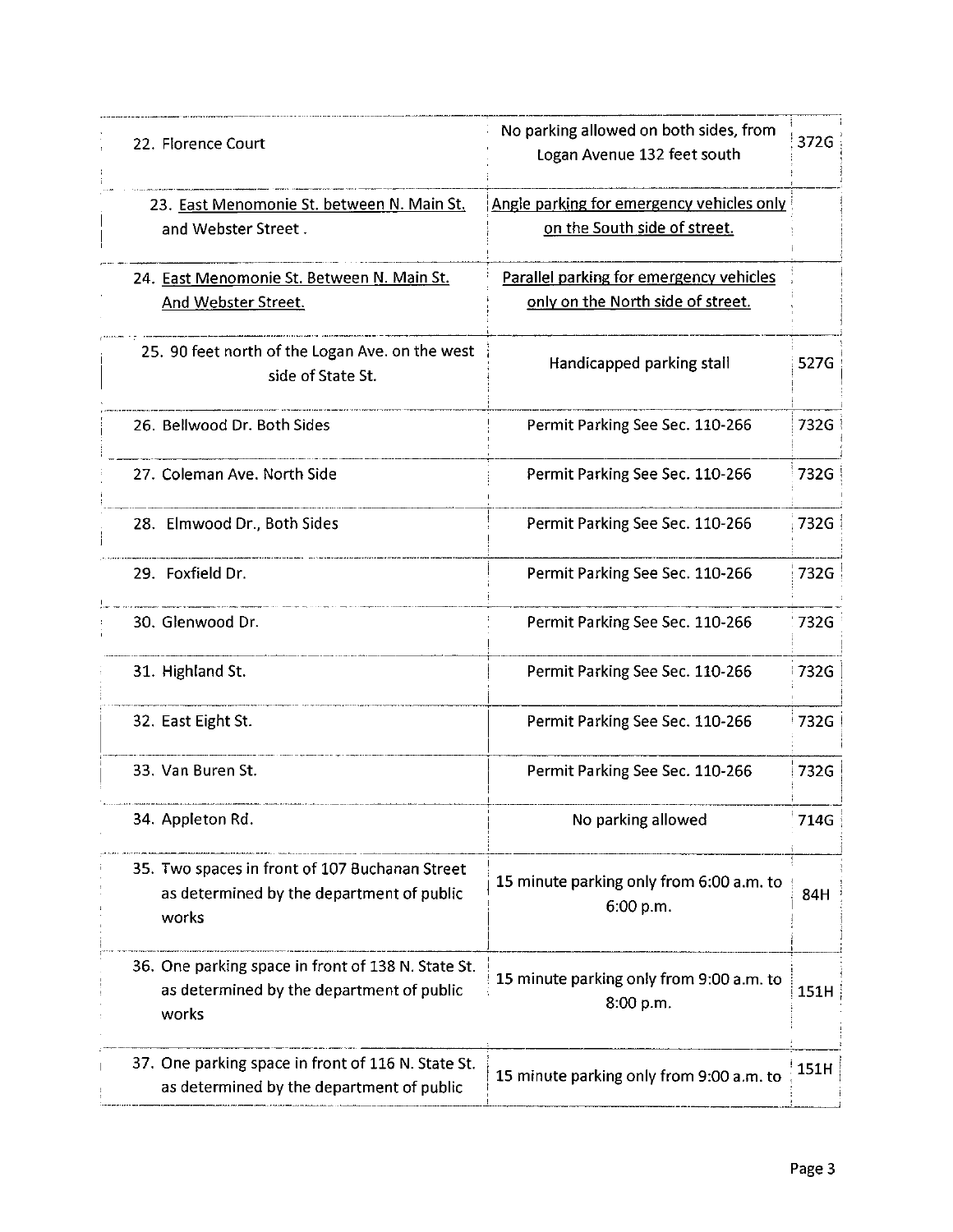|       | 22. Florence Court                                                                              | No parking allowed on both sides, from<br>Logan Avenue 132 feet south        | 372G |
|-------|-------------------------------------------------------------------------------------------------|------------------------------------------------------------------------------|------|
|       | 23. East Menomonie St. between N. Main St.<br>and Webster Street.                               | Angle parking for emergency vehicles only<br>on the South side of street.    |      |
|       | 24. East Menomonie St. Between N. Main St.<br>And Webster Street.                               | Parallel parking for emergency vehicles<br>only on the North side of street. |      |
|       | 25. 90 feet north of the Logan Ave. on the west<br>side of State St.                            | Handicapped parking stall                                                    | 527G |
|       | 26. Bellwood Dr. Both Sides                                                                     | Permit Parking See Sec. 110-266                                              | 732G |
|       | 27. Coleman Ave. North Side                                                                     | Permit Parking See Sec. 110-266                                              | 732G |
|       | 28. Elmwood Dr., Both Sides                                                                     | Permit Parking See Sec. 110-266                                              | 732G |
|       | 29. Foxfield Dr.                                                                                | Permit Parking See Sec. 110-266                                              | 732G |
|       | 30. Glenwood Dr.                                                                                | Permit Parking See Sec. 110-266                                              | 732G |
|       | 31. Highland St.                                                                                | Permit Parking See Sec. 110-266                                              | 732G |
|       | 32. East Eight St.                                                                              | Permit Parking See Sec. 110-266                                              | 732G |
|       | 33. Van Buren St.                                                                               | Permit Parking See Sec. 110-266                                              | 732G |
|       | 34. Appleton Rd.                                                                                | No parking allowed                                                           | 714G |
| works | 35. Two spaces in front of 107 Buchanan Street<br>as determined by the department of public     | 15 minute parking only from 6:00 a.m. to<br>6:00 p.m.                        | 84H  |
| works | 36. One parking space in front of 138 N. State St.<br>as determined by the department of public | 15 minute parking only from 9:00 a.m. to<br>8:00 p.m.                        | 151H |
|       | 37. One parking space in front of 116 N. State St.<br>as determined by the department of public | 15 minute parking only from 9:00 a.m. to                                     | 151H |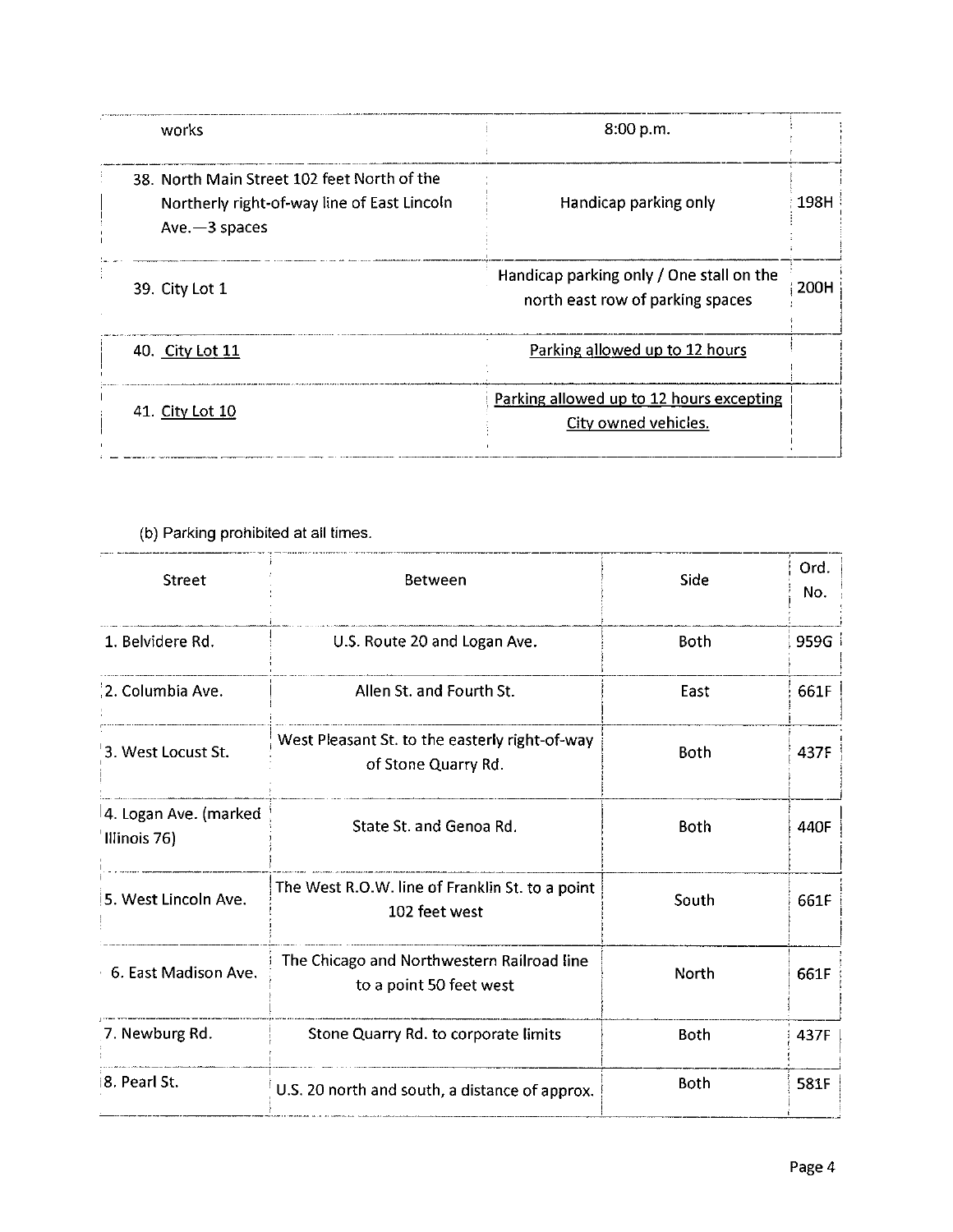| works                                                                                                           | 8:00 p.m.                                                                    |      |
|-----------------------------------------------------------------------------------------------------------------|------------------------------------------------------------------------------|------|
| 38. North Main Street 102 feet North of the<br>Northerly right-of-way line of East Lincoln<br>$Ave$ $-3$ spaces | Handicap parking only                                                        | 198H |
| 39. City Lot 1                                                                                                  | Handicap parking only / One stall on the<br>north east row of parking spaces | 200H |
| 40. City Lot 11                                                                                                 | Parking allowed up to 12 hours                                               |      |
| 41. City Lot 10                                                                                                 | Parking allowed up to 12 hours excepting<br>City owned vehicles.             |      |

#### (b) Parking prohibited at all times.

| <b>Street</b>                         | <b>Between</b>                                                        | Side        | Ord.<br>No. |
|---------------------------------------|-----------------------------------------------------------------------|-------------|-------------|
| 1. Belvidere Rd.                      | U.S. Route 20 and Logan Ave.                                          | <b>Both</b> | 959G        |
| 2. Columbia Ave.                      | Allen St. and Fourth St.                                              | East        | 661F        |
| 3. West Locust St.                    | West Pleasant St. to the easterly right-of-way<br>of Stone Quarry Rd. | <b>Both</b> | 437F        |
| 4. Logan Ave. (marked<br>Illinois 76) | State St. and Genoa Rd.                                               | Both        | 440F        |
| 5. West Lincoln Ave.                  | The West R.O.W. line of Franklin St. to a point<br>102 feet west      | South       | 661F        |
| 6. East Madison Ave.                  | The Chicago and Northwestern Railroad line<br>to a point 50 feet west | North       | 661F        |
| 7. Newburg Rd.                        | Stone Quarry Rd. to corporate limits                                  | <b>Both</b> | 437F        |
| 8. Pearl St.                          | U.S. 20 north and south, a distance of approx.                        | <b>Both</b> | 581F        |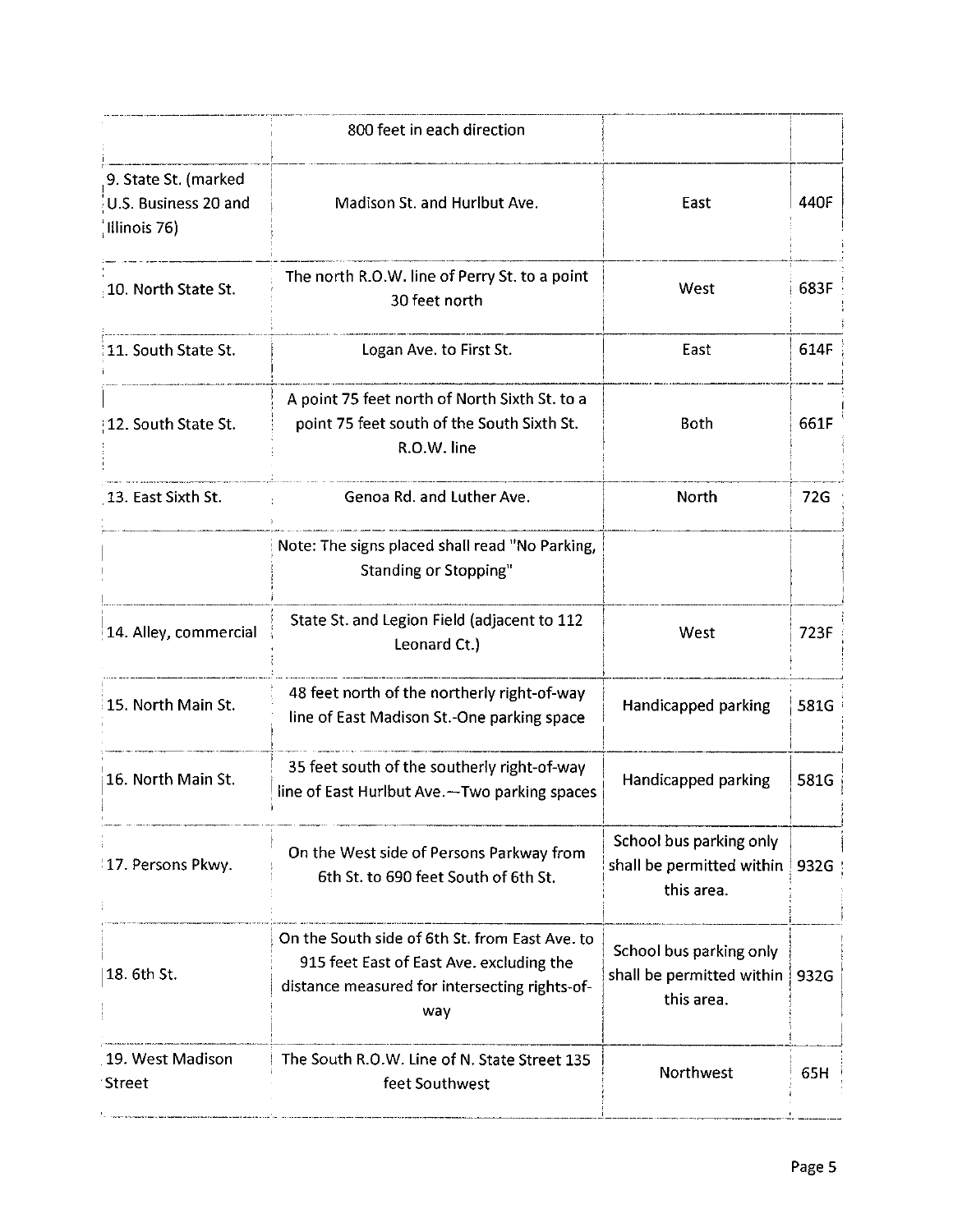|                                                              | 800 feet in each direction                                                                                                                         |                                                                    |      |
|--------------------------------------------------------------|----------------------------------------------------------------------------------------------------------------------------------------------------|--------------------------------------------------------------------|------|
| 9. State St. (marked<br>U.S. Business 20 and<br>Illinois 76) | Madison St. and Hurlbut Ave.                                                                                                                       | East                                                               | 440F |
| 10. North State St.                                          | The north R.O.W. line of Perry St. to a point<br>30 feet north                                                                                     | West                                                               | 683F |
| 11. South State St.                                          | Logan Ave. to First St.                                                                                                                            | East                                                               | 614F |
| 12. South State St.                                          | A point 75 feet north of North Sixth St. to a<br>point 75 feet south of the South Sixth St.<br>R.O.W. line                                         | Both                                                               | 661F |
| 13. East Sixth St.                                           | Genoa Rd. and Luther Ave.                                                                                                                          | <b>North</b>                                                       | 72G  |
|                                                              | Note: The signs placed shall read "No Parking,<br><b>Standing or Stopping"</b>                                                                     |                                                                    |      |
| 14. Alley, commercial                                        | State St. and Legion Field (adjacent to 112<br>Leonard Ct.)                                                                                        | West                                                               | 723F |
| 15. North Main St.                                           | 48 feet north of the northerly right-of-way<br>line of East Madison St.-One parking space                                                          | Handicapped parking                                                | 581G |
| 16. North Main St.                                           | 35 feet south of the southerly right-of-way<br>line of East Hurlbut Ave. - Two parking spaces                                                      | Handicapped parking                                                | 581G |
| 17. Persons Pkwy.                                            | On the West side of Persons Parkway from<br>6th St. to 690 feet South of 6th St.                                                                   | School bus parking only<br>shall be permitted within<br>this area. | 932G |
| 18. 6th St.                                                  | On the South side of 6th St. from East Ave. to<br>915 feet East of East Ave. excluding the<br>distance measured for intersecting rights-of-<br>way | School bus parking only<br>shall be permitted within<br>this area. | 932G |
| 19. West Madison<br><b>Street</b>                            | The South R.O.W. Line of N. State Street 135<br>feet Southwest                                                                                     | Northwest                                                          | 65H  |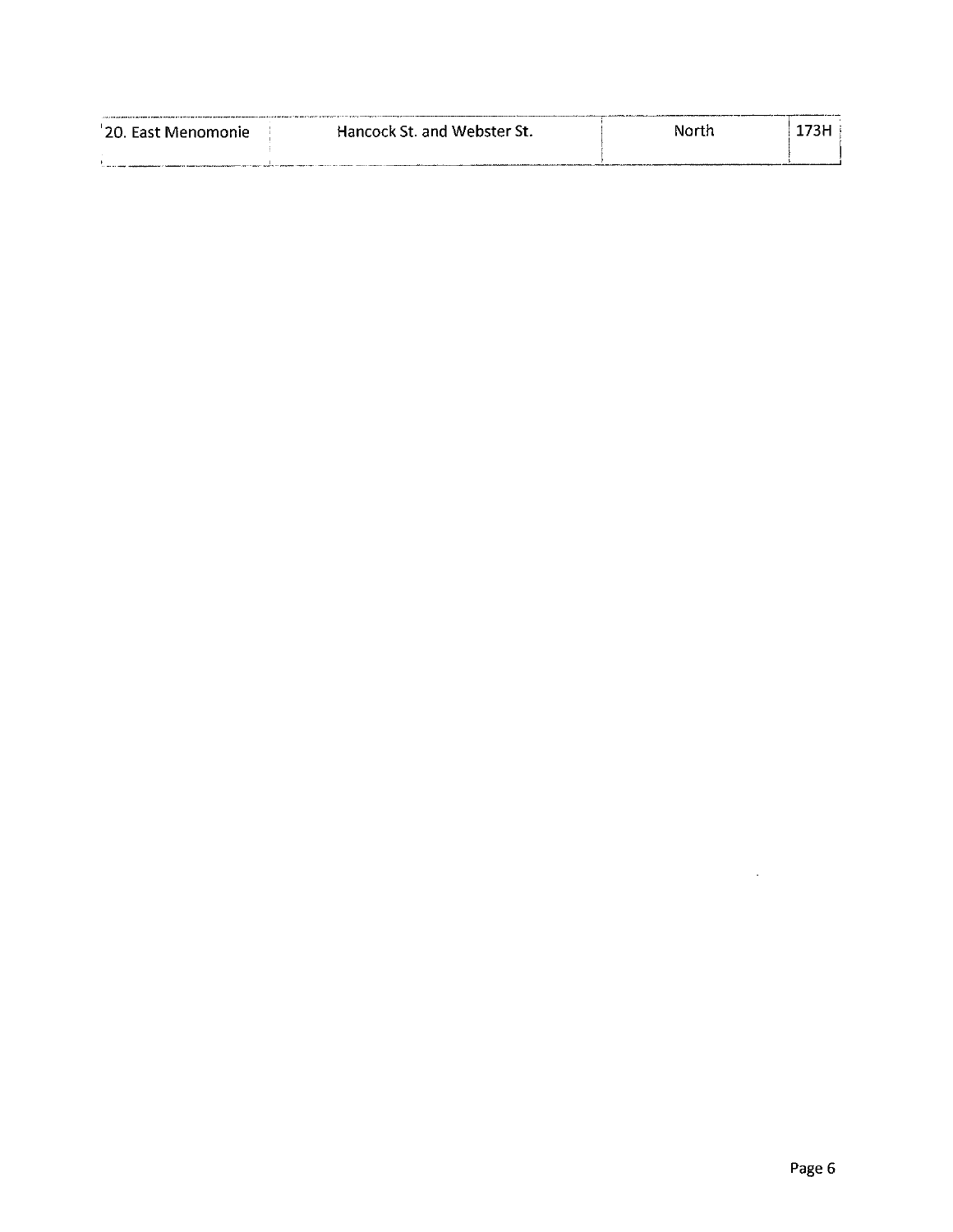| '20. East Menomonie I | Hancock St. and Webster St. | North | 73H |  |
|-----------------------|-----------------------------|-------|-----|--|
|                       |                             |       |     |  |

 $\mathcal{L}^{\text{max}}_{\text{max}}$  , where  $\mathcal{L}^{\text{max}}_{\text{max}}$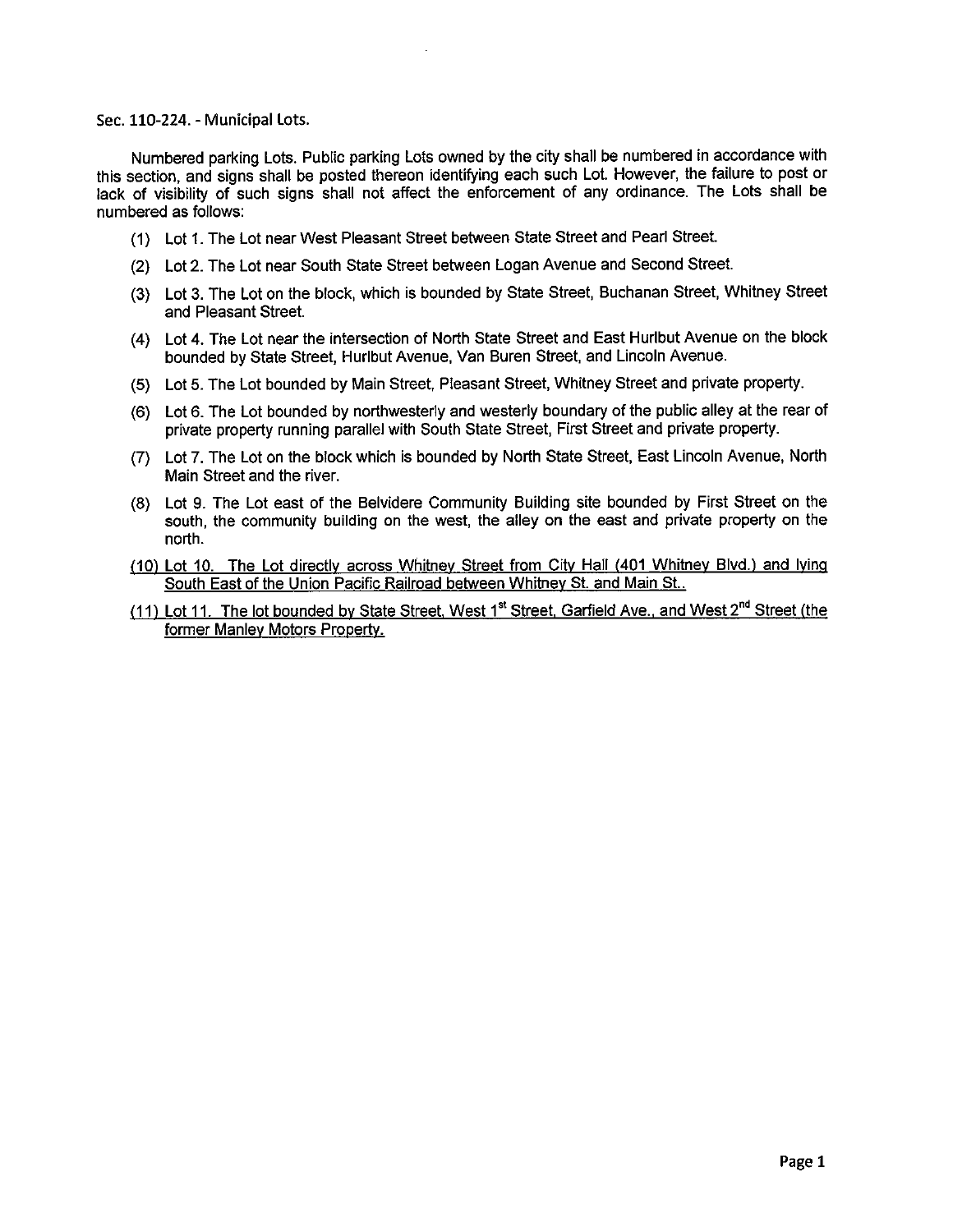#### Sec. 110-224. - Municipal Lots.

Numbered parking Lots. Public parking Lots owned by the city shall be numbered in accordance with this section, and signs shall be posted thereon identifying each such Lot. However, the failure to post or lack of visibility of such signs shall not affect the enforcement of any ordinance. The Lots shall be numbered as follows:

- 1) Lot 1. The Lot near West Pleasant Street between State Street and Pearl Street.
- 2) Lot 2. The Lot near South State Street between Logan Avenue and Second Street.
- 3) Lot 3. The Lot on the block, which is bounded by State Street, Buchanan Street, Whitney Street and Pleasant Street.
- 4) Lot 4. The Lot near the intersection of North State Street and East Hurlbut Avenue on the block bounded by State Street, Hurlbut Avenue, Van Buren Street, and Lincoln Avenue.
- 5) Lot 5. The Lot bounded by Main Street, Pleasant Street, Whitney Street and private property.
- 6) Lot 6. The Lot bounded by northwesterly and westerly boundary of the public alley at the rear of private property running parallel with South State Street, First Street and private property.
- 7) Lot 7. The Lot on the block which is bounded by North State Street, East Lincoln Avenue, North Main Street and the river.
- 8) Lot 9. The Lot east of the Belvidere Community Building site bounded by First Street on the south, the community building on the west, the alley on the east and private property on the north.
- 10) Lot 10. The Lot directly across Whitney Street from City Hall ( 401 Whitney Blvd.) and lying South East of the Union Pacific Railroad between Whitney St. and Main St..
- (11) Lot 11. The lot bounded by State Street, West 1<sup>st</sup> Street, Garfield Ave., and West 2<sup>nd</sup> Street (the former Manley Motors Property.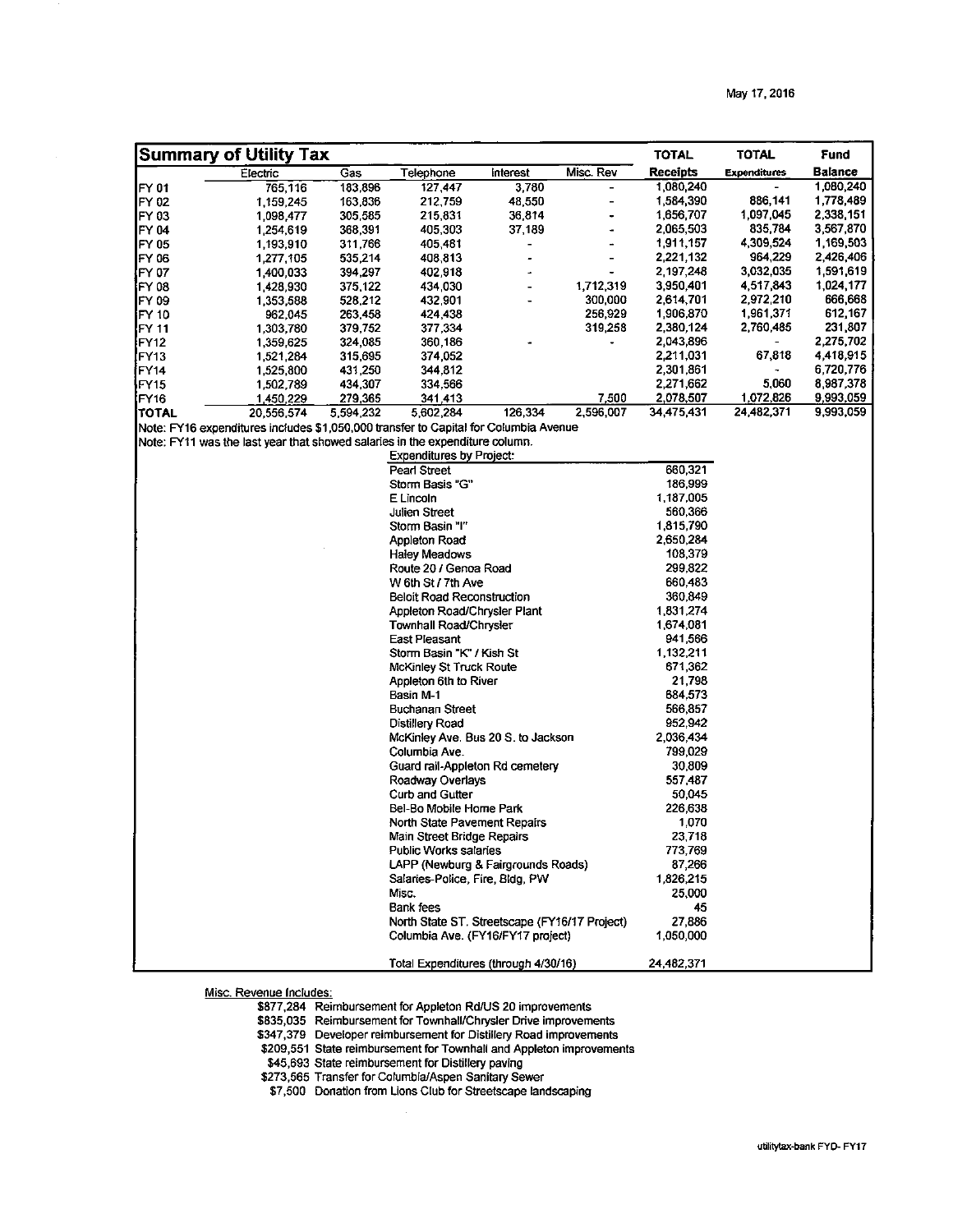|                  | <b>Summary of Utility Tax</b>                                                        |           |                                               |          |           | <b>TOTAL</b> | <b>TOTAL</b>        | Fund      |
|------------------|--------------------------------------------------------------------------------------|-----------|-----------------------------------------------|----------|-----------|--------------|---------------------|-----------|
|                  | Electric                                                                             | Gas       | Telephone                                     | interest | Misc. Rev | Receipts     | <b>Expenditures</b> | Balance   |
| FY 01            | 765,116                                                                              | 183,896   | 127,447                                       | 3,780    |           | 1,080,240    |                     | 1,080,240 |
| FY 02            | 1,159,245                                                                            | 163,836   | 212,759                                       | 48,550   |           | 1,584,390    | 886,141             | 1,778,489 |
| FY 03            | 1,098,477                                                                            | 305,585   | 215,831                                       | 36,814   |           | 1,656,707    | 1,097.045           | 2,338,151 |
| FY 04            | 1,254,619                                                                            | 368,391   | 405,303                                       | 37,189   |           | 2,065,503    | 835,784             | 3,567,870 |
| FY 05            | 1,193,910                                                                            | 311,766   | 405,481                                       |          |           | 1,911,157    | 4,309,524           | 1,169,503 |
| FY 06            | 1,277,105                                                                            | 535,214   | 408,813                                       |          |           | 2,221,132    | 964.229             | 2,426,406 |
| (FY 07           | 1,400,033                                                                            | 394,297   | 402,918                                       |          |           | 2,197,248    | 3,032.035           | 1,591,619 |
| FY 08            | 1,428,930                                                                            | 375,122   | 434,030                                       |          | 1,712,319 | 3,950,401    | 4,517,843           | 1,024,177 |
| FY 09            | 1,353,588                                                                            | 528,212   | 432,901                                       |          | 300,000   | 2,614,701    | 2,972.210           | 666,668   |
| FY 10            | 962,045                                                                              | 263,458   | 424,438                                       |          | 256,929   | 1,906,870    | 1,961,371           | 612,167   |
| FY 11            | 1,303,780                                                                            | 379,752   | 377,334                                       |          | 319,258   | 2,380,124    | 2,760,485           | 231,807   |
| FY12             | 1,359,625                                                                            | 324,085   | 360,186                                       |          |           | 2,043,896    |                     | 2,275,702 |
| FY13]            | 1,521,284                                                                            | 315,695   | 374,052                                       |          |           | 2,211,031    | 67,818              | 4,418,915 |
| FY 14            | 1,525,800                                                                            | 431,250   | 344,812                                       |          |           | 2,301,861    |                     | 6,720,776 |
| FY15             | 1,502,789                                                                            | 434,307   | 334,566                                       |          |           | 2,271,662    | 5,060               | 8,987,378 |
| FY <sub>16</sub> | 1,450,229                                                                            | 279,365   | 341,413                                       |          | 7,500     | 2,078.507    | 1,072,826           | 9,993,059 |
| TOTAL            | 20,556,574                                                                           | 5,594,232 | 5,602,284                                     | 126,334  | 2,596,007 | 34,475.431   | 24,482,371          | 9,993,059 |
|                  | Note: FY16 expenditures includes \$1,050,000 transfer to Capital for Columbia Avenue |           |                                               |          |           |              |                     |           |
|                  | Note: FY11 was the last year that showed salaries in the expenditure column.         |           |                                               |          |           |              |                     |           |
|                  |                                                                                      |           | <b>Expenditures by Project:</b>               |          |           |              |                     |           |
|                  |                                                                                      |           | Pearl Street                                  |          |           | 660,321      |                     |           |
|                  |                                                                                      |           | Storm Basis "G"                               |          |           | 186,999      |                     |           |
|                  |                                                                                      |           | E Lincoln                                     |          |           | 1,187.005    |                     |           |
|                  |                                                                                      |           | Julien Street                                 |          |           | 560,366      |                     |           |
|                  |                                                                                      |           | Storm Basin "I"                               |          |           | 1,815.790    |                     |           |
|                  |                                                                                      |           | Appleton Road                                 |          |           | 2,650,284    |                     |           |
|                  |                                                                                      |           | <b>Haley Meadows</b>                          |          |           | 108,379      |                     |           |
|                  |                                                                                      |           | Route 20 / Genoa Road                         |          |           | 299.822      |                     |           |
|                  |                                                                                      |           | W 6th St / 7th Ave                            |          |           | 660.483      |                     |           |
|                  |                                                                                      |           | <b>Beloit Road Reconstruction</b>             |          |           | 360,849      |                     |           |
|                  |                                                                                      |           | Appleton Road/Chrysler Plant                  |          |           | 1,831.274    |                     |           |
|                  |                                                                                      |           | Townhall Road/Chrysler                        |          |           | 1,674,081    |                     |           |
|                  |                                                                                      |           | <b>East Pleasant</b>                          |          |           | 941,566      |                     |           |
|                  |                                                                                      |           | Storm Basin "K" / Kish St                     |          |           | 1,132,211    |                     |           |
|                  |                                                                                      |           | McKinley St Truck Route                       |          |           | 671.362      |                     |           |
|                  |                                                                                      |           | Appleton 6th to River                         |          |           | 21,798       |                     |           |
|                  |                                                                                      |           | Basin M-1                                     |          |           | 684,573      |                     |           |
|                  |                                                                                      |           | Buchanan Street                               |          |           | 566,857      |                     |           |
|                  |                                                                                      |           | Distillery Road                               |          |           | 952.942      |                     |           |
|                  |                                                                                      |           | McKinley Ave. Bus 20 S. to Jackson            |          |           | 2,036 434    |                     |           |
|                  |                                                                                      |           | Columbia Ave.                                 |          |           | 799,029      |                     |           |
|                  |                                                                                      |           | Guard rail-Appleton Rd cemetery               |          |           | 30.809       |                     |           |
|                  |                                                                                      |           | Roadway Overlays                              |          |           | 557 487      |                     |           |
|                  |                                                                                      |           | <b>Curb and Gutter</b>                        |          |           | 50,045       |                     |           |
|                  |                                                                                      |           | Bel-Bo Mobile Home Park                       |          |           | 226,638      |                     |           |
|                  |                                                                                      |           | North State Pavement Repairs                  |          |           | 1.070        |                     |           |
|                  |                                                                                      |           | Main Street Bridge Repairs                    |          |           | 23 718       |                     |           |
|                  |                                                                                      |           | Public Works salaries                         |          |           | 773 769      |                     |           |
|                  |                                                                                      |           | LAPP (Newburg & Fairgrounds Roads)            |          |           | 87,266       |                     |           |
|                  |                                                                                      |           | Salaries-Police, Fire, Bldg, PW               |          |           | 1,826,215    |                     |           |
|                  |                                                                                      |           | Misc.                                         |          |           | 25,000       |                     |           |
|                  |                                                                                      |           | Bank fees                                     |          |           | 45           |                     |           |
|                  |                                                                                      |           | North State ST. Streetscape (FY16/17 Project) |          |           | 27.886       |                     |           |
|                  |                                                                                      |           | Columbia Ave. (FY16/FY17 project)             |          |           | 1,050,000    |                     |           |
|                  |                                                                                      |           | Total Expenditures (through 4/30/16)          |          |           | 24,482,371   |                     |           |

Misc. Revenue Includes:

877,284 Reimbursement for Appleton Rd/US 20 improvements

835,035 Reimbursement for Townhall/Chrysler Drive improvements

347,379 Developer reimbursement for Distillery Road improvements

209,551 State reimbursement for Townhall and Appleton improvements

45, 693 State reimbursement for Distillery paving

273,565 Transfer for Columbia/Aspen Sanitary Sewer

7,500 Donation from Lions Club for Streetscape landscaping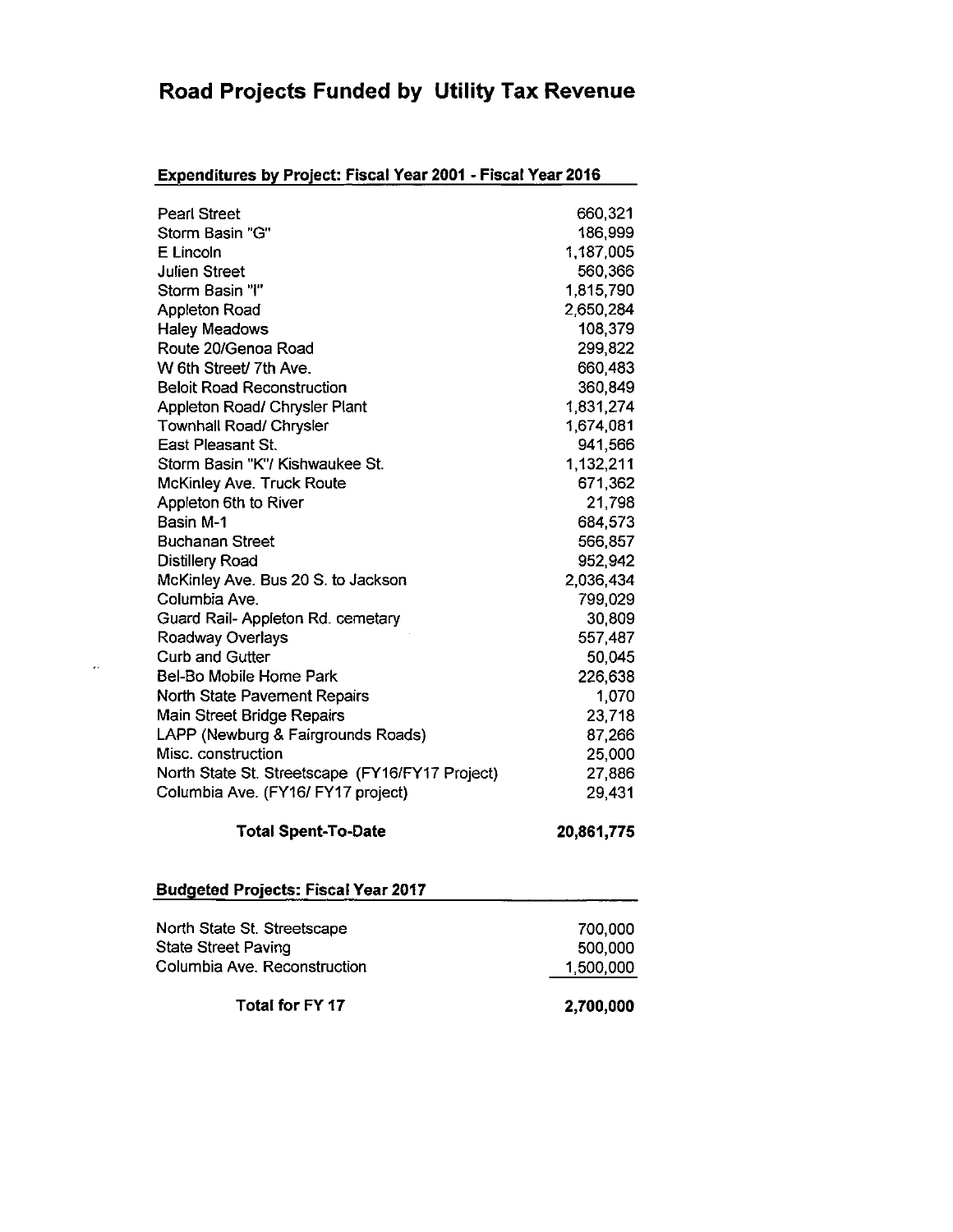## Road Projects Funded by Utility Tax Revenue

### Expenditures by Project: Fiscal Year 2001 - Fiscal Year 2016

| <b>Pearl Street</b>                             | 660,321    |
|-------------------------------------------------|------------|
| Storm Basin "G"                                 | 186,999    |
| E Lincoln                                       | 1,187,005  |
| <b>Julien Street</b>                            | 560,366    |
| Storm Basin "I"                                 | 1,815,790  |
| <b>Appleton Road</b>                            | 2,650,284  |
| <b>Haley Meadows</b>                            | 108,379    |
| Route 20/Genoa Road                             | 299,822    |
| W 6th Street/ 7th Ave.                          | 660,483    |
| <b>Beloit Road Reconstruction</b>               | 360,849    |
| Appleton Road/ Chrysler Plant                   | 1,831,274  |
| Townhall Road/ Chrysler                         | 1,674,081  |
| East Pleasant St.                               | 941,566    |
| Storm Basin "K"/ Kishwaukee St.                 | 1,132,211  |
| McKinley Ave. Truck Route                       | 671,362    |
| Appleton 6th to River                           | 21,798     |
| Basin M-1                                       | 684,573    |
| <b>Buchanan Street</b>                          | 566,857    |
| <b>Distillery Road</b>                          | 952,942    |
| McKinley Ave. Bus 20 S. to Jackson              | 2,036,434  |
| Columbia Ave.                                   | 799,029    |
| Guard Rail- Appleton Rd. cemetary               | 30,809     |
| Roadway Overlays                                | 557,487    |
| <b>Curb and Gutter</b>                          | 50,045     |
| Bel-Bo Mobile Home Park                         | 226,638    |
| North State Pavement Repairs                    | 1,070      |
| <b>Main Street Bridge Repairs</b>               | 23,718     |
| LAPP (Newburg & Fairgrounds Roads)              | 87,266     |
| Misc. construction                              | 25,000     |
| North State St. Streetscape (FY16/FY17 Project) | 27,886     |
| Columbia Ave. (FY16/ FY17 project)              | 29,431     |
| <b>Total Spent-To-Date</b>                      | 20,861,775 |
|                                                 |            |

#### Budgeted Projects: Fiscal Year 2017

 $\pmb{\cdot}$ 

| Total for FY 17              | 2,700,000 |
|------------------------------|-----------|
| Columbia Ave. Reconstruction | 1,500,000 |
| <b>State Street Paving</b>   | 500,000   |
| North State St. Streetscape  | 700.000   |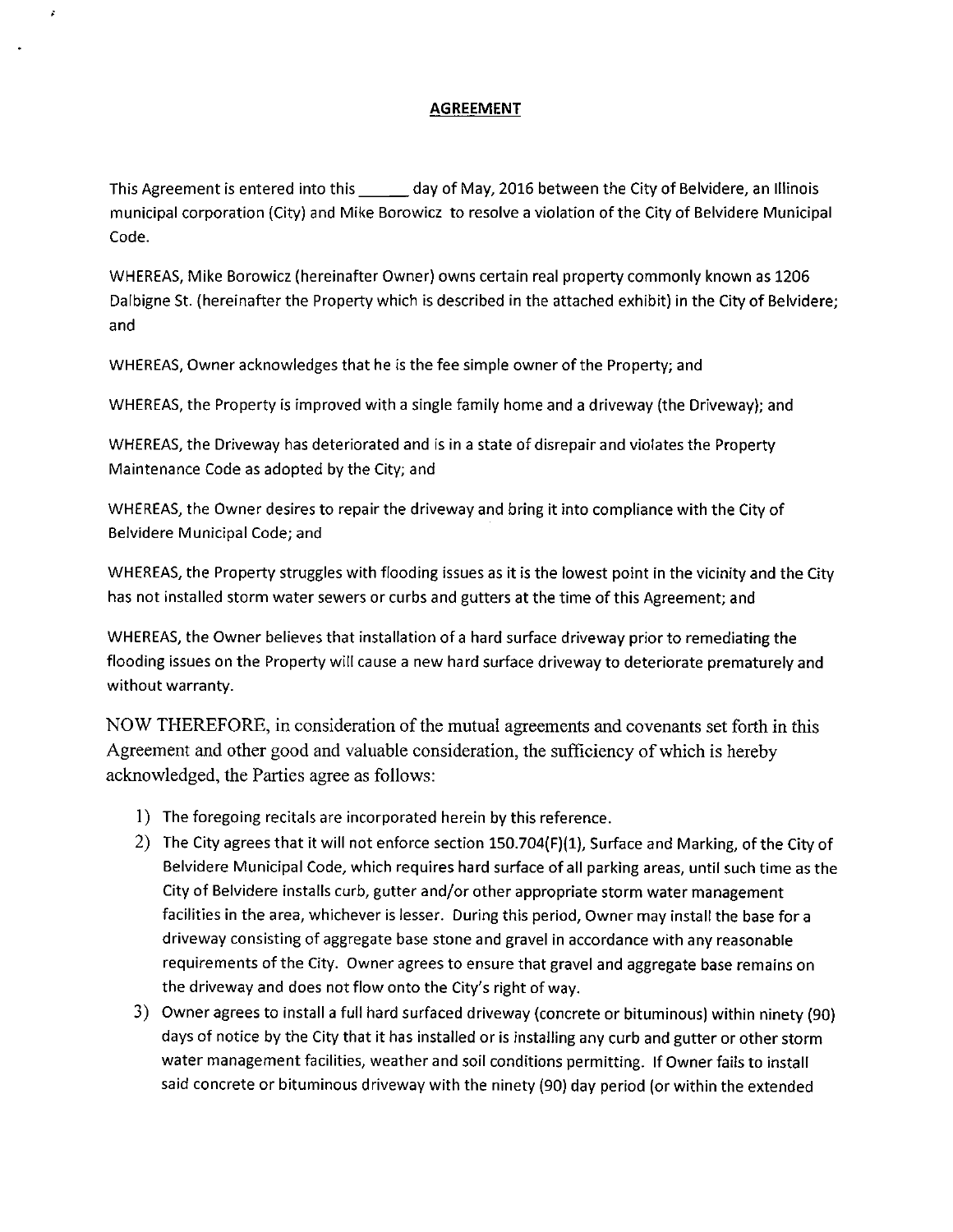#### **AGREEMENT**

This Agreement is entered into this \_\_\_\_\_ day of May, 2016 between the City of Belvidere, an Illinois municipal corporation (City) and Mike Borowicz to resolve <sup>a</sup> violation of the City of Belvidere Municipal Code.

WHEREAS, Mike Borowicz( hereinafter Owner) owns certain real property commonly known as 1206 Dalbigne St. ( hereinafter the Property which is described in the attached exhibit) in the City of Belvidere; and

WHEREAS, Owner acknowledges that he is the fee simple owner of the Property; and

WHEREAS, the Property is improved with a single family home and a driveway (the Driveway); and

WHEREAS, the Driveway has deteriorated and is in a state of disrepair and violates the Property Maintenance Code as adopted by the City; and

WHEREAS, the Owner desires to repair the driveway and bring it into compliance with the City of Belvidere Municipal Code; and

WHEREAS, the Property struggles with flooding issues as it is the lowest point in the vicinity and the City has not installed storm water sewers or curbs and gutters at the time of this Agreement; and

WHEREAS, the Owner believes that installation of <sup>a</sup> hard surface driveway prior to remediating the flooding issues on the Property will cause <sup>a</sup> new hard surface driveway to deteriorate prematurely and without warranty.

NOW THEREFORE, in consideration of the mutual agreements and covenants set forth in this Agreement and other good and valuable consideration, the sufficiency of which is hereby acknowledged, the Parties agree as follows:

- 1) The foregoing recitals are incorporated herein by this reference.
- 2) The City agrees that it will not enforce section 150.704(F)(1), Surface and Marking, of the City of Belvidere Municipal Code, which requires hard surface of all parking areas, until such time as the City of Belvidere installs curb, gutter and/ or other appropriate storm water management facilities in the area, whichever is lesser. During this period, Owner may install the base for <sup>a</sup> driveway consisting of aggregate base stone and gravel in accordance with any reasonable requirements of the City. Owner agrees to ensure that gravel and aggregate base remains on the driveway and does not flow onto the City's right of way.
- 3) Owner agrees to install <sup>a</sup> full hard surfaced driveway( concrete or bituminous) within ninety (90) days of notice by the City that it has installed or is installing any curb and gutter or other storm water management facilities, weather and soil conditions permitting. If Owner fails to install said concrete or bituminous driveway with the ninety( 90) day period (or within the extended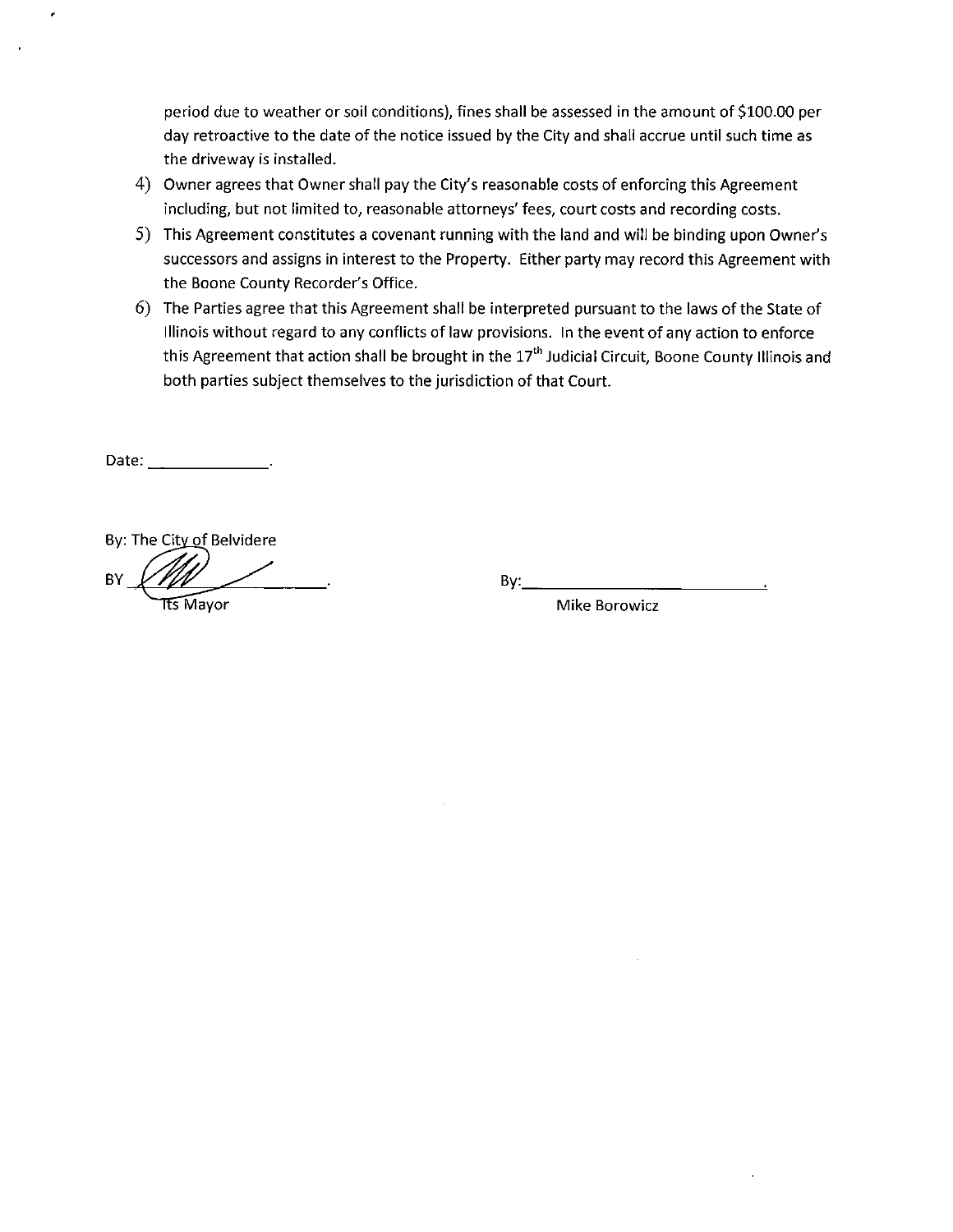period due to weather or soil conditions), fines shall be assessed in the amount of \$100.00 per day retroactive to the date of the notice issued by the City and shall accrue until such time as the driveway is installed.

- 4) Owner agrees that Owner shall pay the City's reasonable costs of enforcing this Agreement including, but not limited to, reasonable attorneys' fees, court costs and recording costs.
- 5) This Agreement constitutes a covenant running with the land and will be binding upon Owner's successors and assigns in interest to the Property. Either party may record this Agreement with the Boone County Recorder's Office.
- 6) The Parties agree that this Agreement shall be interpreted pursuant to the laws of the State of Illinois without regard to any conflicts of law provisions. In the event of any action to enforce this Agreement that action shall be brought in the 17<sup>th</sup> Judicial Circuit, Boone County Illinois and both parties subject themselves to the jurisdiction of that Court.

Date:

By: The City of Belvidere  $\mathsf{BV}$   $\mathsf{BV}$   $\mathsf{BV}$   $\mathsf{BV}$   $\mathsf{BV}$ **Example 20 Intervention Control** Mike Borowicz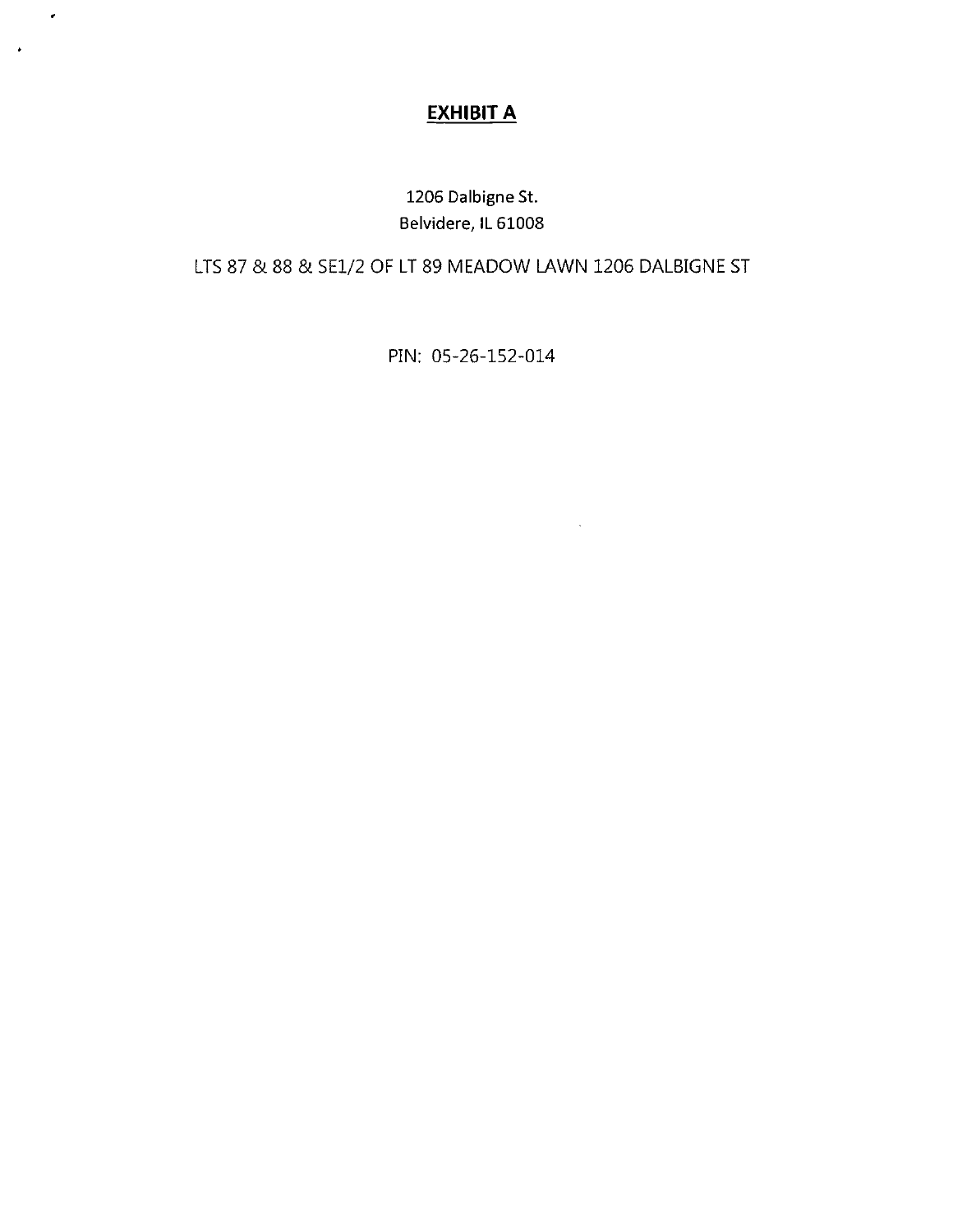## EXHIBIT A

 $\pmb{\epsilon}$ 

 $\pmb{\ast}$ 

1206 Dalbigne St. Belvidere, IL 61008

LTS 87 & 88 & SE1/2 OF LT 89 MEADOW LAWN 1206 DALBIGNE ST

PIN: 05-26-152-014

 $\sim$